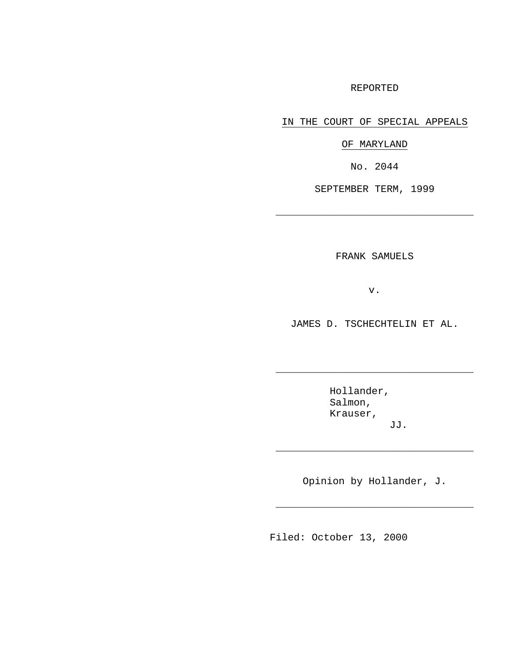### REPORTED

IN THE COURT OF SPECIAL APPEALS

OF MARYLAND

No. 2044

SEPTEMBER TERM, 1999

\_\_\_\_\_\_\_\_\_\_\_\_\_\_\_\_\_\_\_\_\_\_\_\_\_\_\_\_\_\_\_\_\_

FRANK SAMUELS

v.

JAMES D. TSCHECHTELIN ET AL.

 $\_$ 

Hollander, Salmon, Krauser, JJ.

Opinion by Hollander, J.

\_\_\_\_\_\_\_\_\_\_\_\_\_\_\_\_\_\_\_\_\_\_\_\_\_\_\_\_\_\_\_\_\_

\_\_\_\_\_\_\_\_\_\_\_\_\_\_\_\_\_\_\_\_\_\_\_\_\_\_\_\_\_\_\_\_\_

Filed: October 13, 2000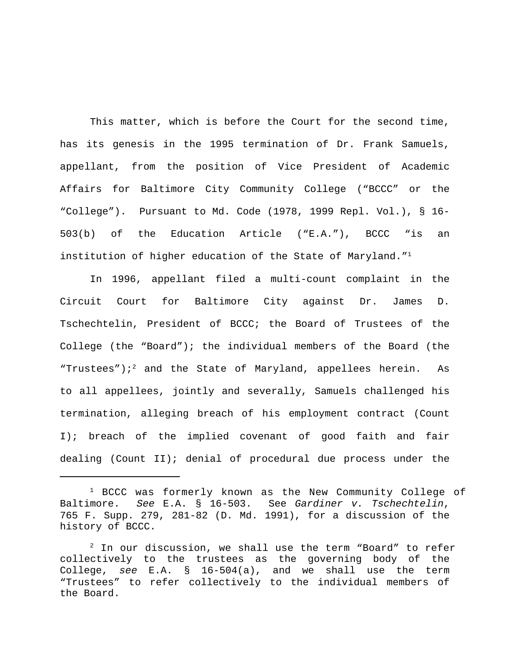This matter, which is before the Court for the second time, has its genesis in the 1995 termination of Dr. Frank Samuels, appellant, from the position of Vice President of Academic Affairs for Baltimore City Community College ("BCCC" or the "College"). Pursuant to Md. Code (1978, 1999 Repl. Vol.), § 16- 503(b) of the Education Article ("E.A."), BCCC "is an institution of higher education of the State of Maryland."<sup>1</sup>

In 1996, appellant filed a multi-count complaint in the Circuit Court for Baltimore City against Dr. James D. Tschechtelin, President of BCCC; the Board of Trustees of the College (the "Board"); the individual members of the Board (the "Trustees") $i^2$  and the State of Maryland, appellees herein. As to all appellees, jointly and severally, Samuels challenged his termination, alleging breach of his employment contract (Count I); breach of the implied covenant of good faith and fair dealing (Count II); denial of procedural due process under the

 $1$  BCCC was formerly known as the New Community College of Baltimore. *See* E.A. § 16-503. See *Gardiner v. Tschechtelin*, 765 F. Supp. 279, 281-82 (D. Md. 1991), for a discussion of the history of BCCC.

 $2$  In our discussion, we shall use the term "Board" to refer collectively to the trustees as the governing body of the College, *see* E.A. § 16-504(a), and we shall use the term "Trustees" to refer collectively to the individual members of the Board.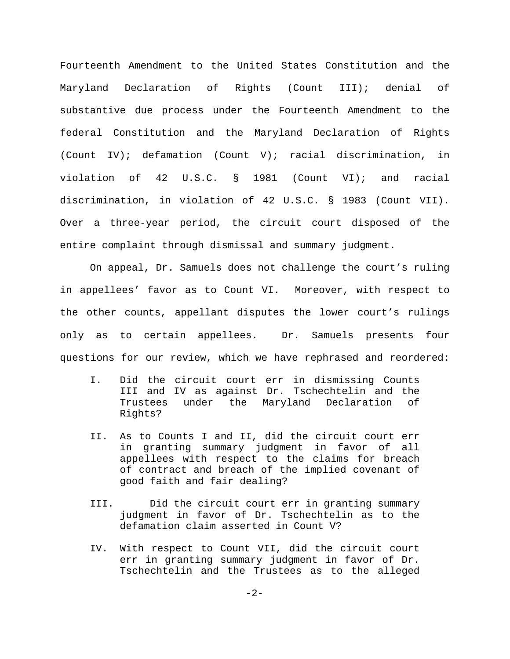Fourteenth Amendment to the United States Constitution and the Maryland Declaration of Rights (Count III); denial of substantive due process under the Fourteenth Amendment to the federal Constitution and the Maryland Declaration of Rights (Count IV); defamation (Count V); racial discrimination, in violation of 42 U.S.C. § 1981 (Count VI); and racial discrimination, in violation of 42 U.S.C. § 1983 (Count VII). Over a three-year period, the circuit court disposed of the entire complaint through dismissal and summary judgment.

On appeal, Dr. Samuels does not challenge the court's ruling in appellees' favor as to Count VI. Moreover, with respect to the other counts, appellant disputes the lower court's rulings only as to certain appellees. Dr. Samuels presents four questions for our review, which we have rephrased and reordered:

- I. Did the circuit court err in dismissing Counts III and IV as against Dr. Tschechtelin and the Trustees under the Maryland Declaration of Rights?
- II. As to Counts I and II, did the circuit court err in granting summary judgment in favor of all appellees with respect to the claims for breach of contract and breach of the implied covenant of good faith and fair dealing?
- III. Did the circuit court err in granting summary judgment in favor of Dr. Tschechtelin as to the defamation claim asserted in Count V?
- IV. With respect to Count VII, did the circuit court err in granting summary judgment in favor of Dr. Tschechtelin and the Trustees as to the alleged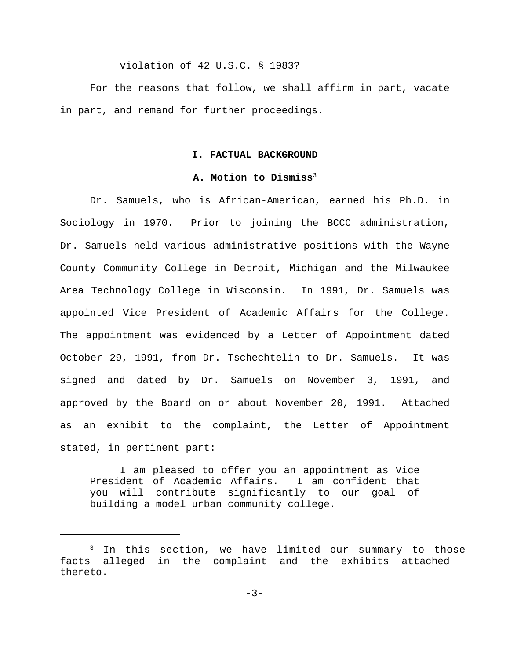violation of 42 U.S.C. § 1983?

For the reasons that follow, we shall affirm in part, vacate in part, and remand for further proceedings.

#### **I. FACTUAL BACKGROUND**

#### **A. Motion to Dismiss**<sup>3</sup>

Dr. Samuels, who is African-American, earned his Ph.D. in Sociology in 1970. Prior to joining the BCCC administration, Dr. Samuels held various administrative positions with the Wayne County Community College in Detroit, Michigan and the Milwaukee Area Technology College in Wisconsin. In 1991, Dr. Samuels was appointed Vice President of Academic Affairs for the College. The appointment was evidenced by a Letter of Appointment dated October 29, 1991, from Dr. Tschechtelin to Dr. Samuels. It was signed and dated by Dr. Samuels on November 3, 1991, and approved by the Board on or about November 20, 1991. Attached as an exhibit to the complaint, the Letter of Appointment stated, in pertinent part:

I am pleased to offer you an appointment as Vice President of Academic Affairs. I am confident that you will contribute significantly to our goal of building a model urban community college.

<sup>&</sup>lt;sup>3</sup> In this section, we have limited our summary to those facts alleged in the complaint and the exhibits attached thereto.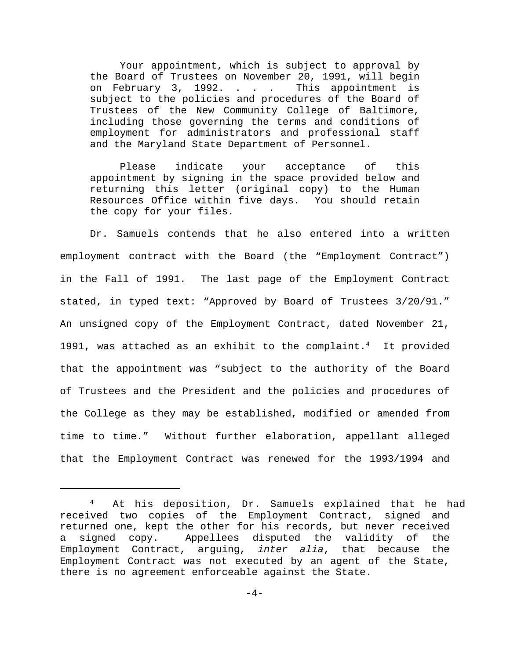Your appointment, which is subject to approval by the Board of Trustees on November 20, 1991, will begin on February 3, 1992. . . . This appointment is subject to the policies and procedures of the Board of Trustees of the New Community College of Baltimore, including those governing the terms and conditions of employment for administrators and professional staff and the Maryland State Department of Personnel.

Please indicate your acceptance of this appointment by signing in the space provided below and returning this letter (original copy) to the Human Resources Office within five days. You should retain the copy for your files.

Dr. Samuels contends that he also entered into a written employment contract with the Board (the "Employment Contract") in the Fall of 1991. The last page of the Employment Contract stated, in typed text: "Approved by Board of Trustees 3/20/91." An unsigned copy of the Employment Contract, dated November 21, 1991, was attached as an exhibit to the complaint. $^4$  It provided that the appointment was "subject to the authority of the Board of Trustees and the President and the policies and procedures of the College as they may be established, modified or amended from time to time." Without further elaboration, appellant alleged that the Employment Contract was renewed for the 1993/1994 and

At his deposition, Dr. Samuels explained that he had 4 received two copies of the Employment Contract, signed and returned one, kept the other for his records, but never received a signed copy. Appellees disputed the validity of the Employment Contract, arguing, *inter alia*, that because the Employment Contract was not executed by an agent of the State, there is no agreement enforceable against the State.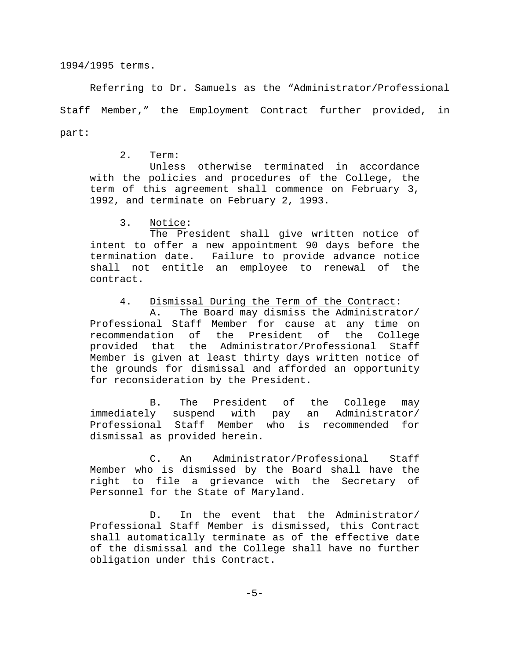1994/1995 terms.

Referring to Dr. Samuels as the "Administrator/Professional Staff Member," the Employment Contract further provided, in part:

2. Term:

Unless otherwise terminated in accordance with the policies and procedures of the College, the term of this agreement shall commence on February 3, 1992, and terminate on February 2, 1993.

3. Notice:

The President shall give written notice of intent to offer a new appointment 90 days before the termination date. Failure to provide advance notice shall not entitle an employee to renewal of the contract.

4. Dismissal During the Term of the Contract:

A. The Board may dismiss the Administrator/ Professional Staff Member for cause at any time on recommendation of the President of the College provided that the Administrator/Professional Staff Member is given at least thirty days written notice of the grounds for dismissal and afforded an opportunity for reconsideration by the President.

B. The President of the College may immediately suspend with pay an Administrator/ Professional Staff Member who is recommended for dismissal as provided herein.

C. An Administrator/Professional Staff Member who is dismissed by the Board shall have the right to file a grievance with the Secretary of Personnel for the State of Maryland.

D. In the event that the Administrator/ Professional Staff Member is dismissed, this Contract shall automatically terminate as of the effective date of the dismissal and the College shall have no further obligation under this Contract.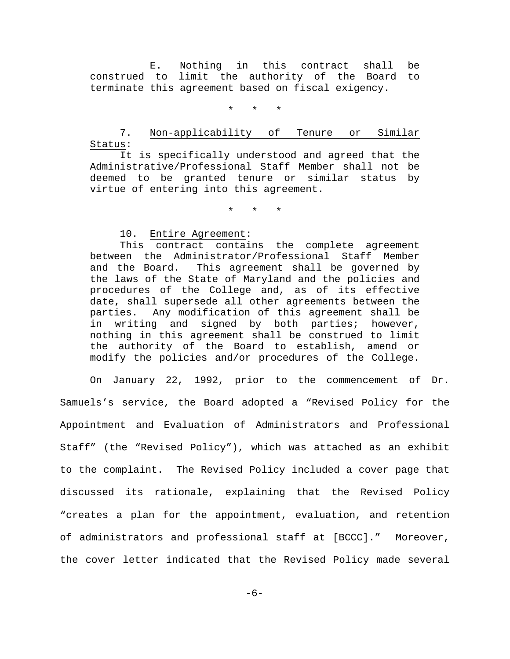E. Nothing in this contract shall be construed to limit the authority of the Board to terminate this agreement based on fiscal exigency.

\* \* \*

# 7. Non-applicability of Tenure or Similar Status:

It is specifically understood and agreed that the Administrative/Professional Staff Member shall not be deemed to be granted tenure or similar status by virtue of entering into this agreement.

\* \* \*

## 10. Entire Agreement:

This contract contains the complete agreement between the Administrator/Professional Staff Member and the Board. This agreement shall be governed by the laws of the State of Maryland and the policies and procedures of the College and, as of its effective date, shall supersede all other agreements between the parties. Any modification of this agreement shall be in writing and signed by both parties; however, nothing in this agreement shall be construed to limit the authority of the Board to establish, amend or modify the policies and/or procedures of the College.

On January 22, 1992, prior to the commencement of Dr. Samuels's service, the Board adopted a "Revised Policy for the Appointment and Evaluation of Administrators and Professional Staff" (the "Revised Policy"), which was attached as an exhibit to the complaint. The Revised Policy included a cover page that discussed its rationale, explaining that the Revised Policy "creates a plan for the appointment, evaluation, and retention of administrators and professional staff at [BCCC]." Moreover, the cover letter indicated that the Revised Policy made several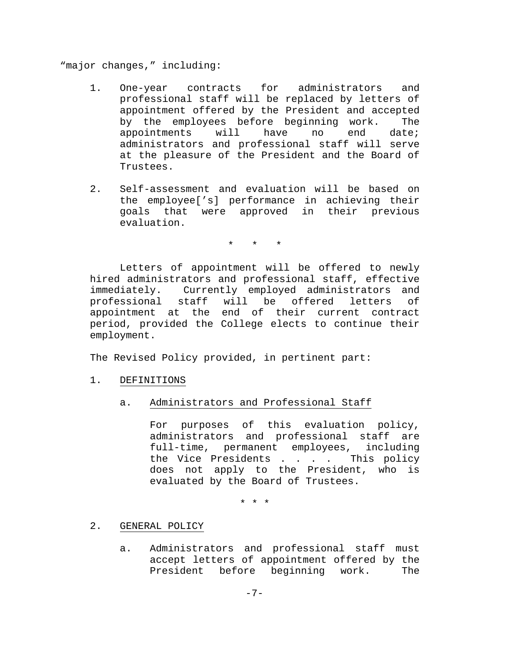"major changes," including:

- 1. One-year contracts for administrators and professional staff will be replaced by letters of appointment offered by the President and accepted by the employees before beginning work. The appointments will have no end date; administrators and professional staff will serve at the pleasure of the President and the Board of Trustees.
- 2. Self-assessment and evaluation will be based on the employee['s] performance in achieving their goals that were approved in their previous evaluation.

\* \* \*

Letters of appointment will be offered to newly hired administrators and professional staff, effective immediately. Currently employed administrators and professional staff will be offered letters of appointment at the end of their current contract period, provided the College elects to continue their employment.

The Revised Policy provided, in pertinent part:

- 1. DEFINITIONS
	- a. Administrators and Professional Staff

For purposes of this evaluation policy, administrators and professional staff are full-time, permanent employees, including the Vice Presidents . . . . This policy does not apply to the President, who is evaluated by the Board of Trustees.

\* \* \*

## 2. GENERAL POLICY

a. Administrators and professional staff must accept letters of appointment offered by the President before beginning work. The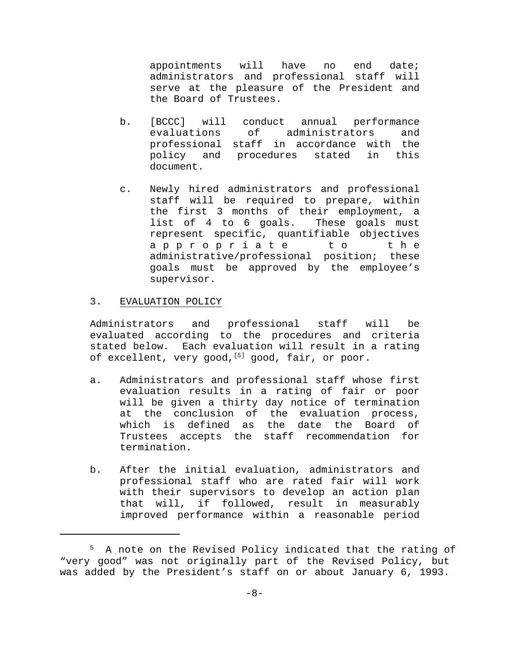appointments will have no end date; administrators and professional staff will serve at the pleasure of the President and the Board of Trustees.

- b. [BCCC] will conduct annual performance evaluations of administrators and professional staff in accordance with the policy and procedures stated in this document.
- c. Newly hired administrators and professional staff will be required to prepare, within the first 3 months of their employment, a list of 4 to 6 goals. These goals must represent specific, quantifiable objectives appropriate to th e administrative/professional position; these goals must be approved by the employee's supervisor.

## 3. EVALUATION POLICY

Administrators and professional staff will be evaluated according to the procedures and criteria stated below. Each evaluation will result in a rating of excellent, very good,  $[5]$  good, fair, or poor.

- a. Administrators and professional staff whose first evaluation results in a rating of fair or poor will be given a thirty day notice of termination at the conclusion of the evaluation process, which is defined as the date the Board of Trustees accepts the staff recommendation for termination.
- b. After the initial evaluation, administrators and professional staff who are rated fair will work with their supervisors to develop an action plan that will, if followed, result in measurably improved performance within a reasonable period

<sup>&</sup>lt;sup>5</sup> A note on the Revised Policy indicated that the rating of "very good" was not originally part of the Revised Policy, but was added by the President's staff on or about January 6, 1993.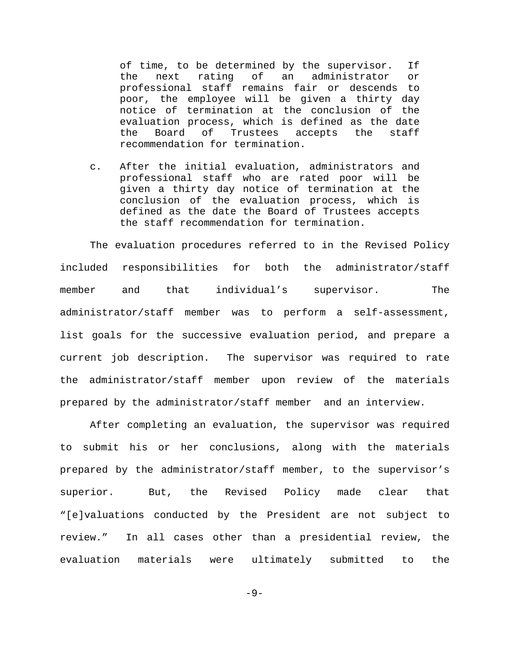of time, to be determined by the supervisor. If the next rating of an administrator or professional staff remains fair or descends to poor, the employee will be given a thirty day notice of termination at the conclusion of the evaluation process, which is defined as the date the Board of Trustees accepts the staff recommendation for termination.

c. After the initial evaluation, administrators and professional staff who are rated poor will be given a thirty day notice of termination at the conclusion of the evaluation process, which is defined as the date the Board of Trustees accepts the staff recommendation for termination.

The evaluation procedures referred to in the Revised Policy included responsibilities for both the administrator/staff member and that individual's supervisor. The administrator/staff member was to perform a self-assessment, list goals for the successive evaluation period, and prepare a current job description. The supervisor was required to rate the administrator/staff member upon review of the materials prepared by the administrator/staff member and an interview.

After completing an evaluation, the supervisor was required to submit his or her conclusions, along with the materials prepared by the administrator/staff member, to the supervisor's superior. But, the Revised Policy made clear that "[e]valuations conducted by the President are not subject to review." In all cases other than a presidential review, the evaluation materials were ultimately submitted to the

 $-9-$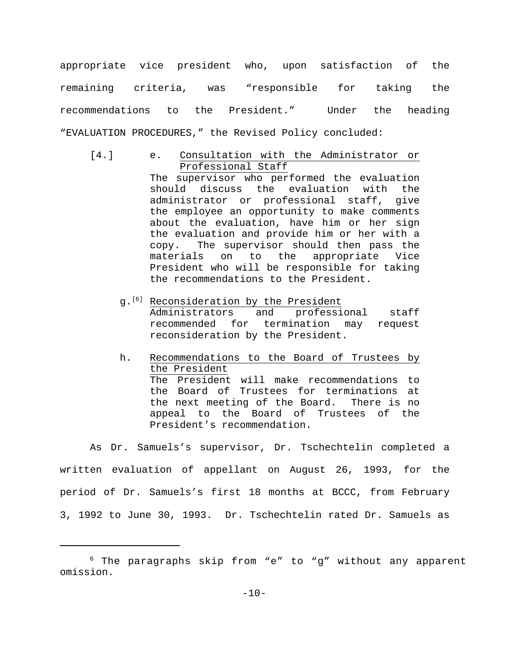appropriate vice president who, upon satisfaction of the remaining criteria, was "responsible for taking the recommendations to the President." Under the heading "EVALUATION PROCEDURES," the Revised Policy concluded:

[4.] e. Consultation with the Administrator or Professional Staff

> The supervisor who performed the evaluation should discuss the evaluation with the administrator or professional staff, give the employee an opportunity to make comments about the evaluation, have him or her sign the evaluation and provide him or her with a copy. The supervisor should then pass the materials on to the appropriate Vice President who will be responsible for taking the recommendations to the President.

- $g.$ <sup>[6]</sup> Reconsideration by the President Administrators and professional staff recommended for termination may request reconsideration by the President.
- h. Recommendations to the Board of Trustees by the President The President will make recommendations to the Board of Trustees for terminations at the next meeting of the Board. There is no appeal to the Board of Trustees of the President's recommendation.

As Dr. Samuels's supervisor, Dr. Tschechtelin completed a written evaluation of appellant on August 26, 1993, for the period of Dr. Samuels's first 18 months at BCCC, from February 3, 1992 to June 30, 1993. Dr. Tschechtelin rated Dr. Samuels as

 $6$  The paragraphs skip from "e" to "g" without any apparent omission.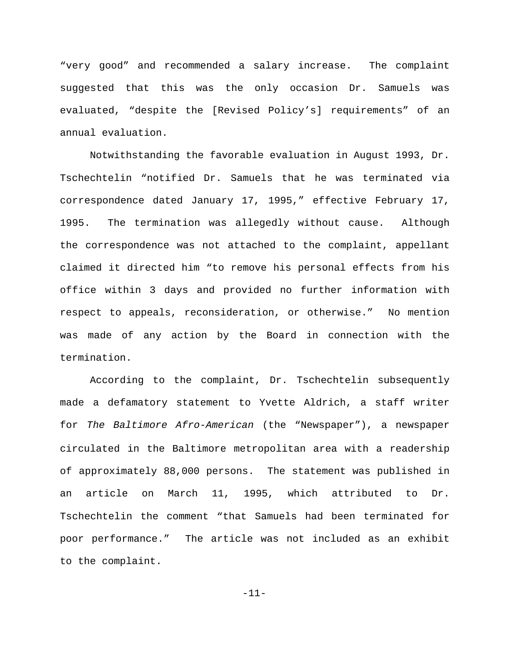"very good" and recommended a salary increase. The complaint suggested that this was the only occasion Dr. Samuels was evaluated, "despite the [Revised Policy's] requirements" of an annual evaluation.

Notwithstanding the favorable evaluation in August 1993, Dr. Tschechtelin "notified Dr. Samuels that he was terminated via correspondence dated January 17, 1995," effective February 17, 1995. The termination was allegedly without cause. Although the correspondence was not attached to the complaint, appellant claimed it directed him "to remove his personal effects from his office within 3 days and provided no further information with respect to appeals, reconsideration, or otherwise." No mention was made of any action by the Board in connection with the termination.

According to the complaint, Dr. Tschechtelin subsequently made a defamatory statement to Yvette Aldrich, a staff writer for *The Baltimore Afro-American* (the "Newspaper"), a newspaper circulated in the Baltimore metropolitan area with a readership of approximately 88,000 persons. The statement was published in an article on March 11, 1995, which attributed to Dr. Tschechtelin the comment "that Samuels had been terminated for poor performance." The article was not included as an exhibit to the complaint.

-11-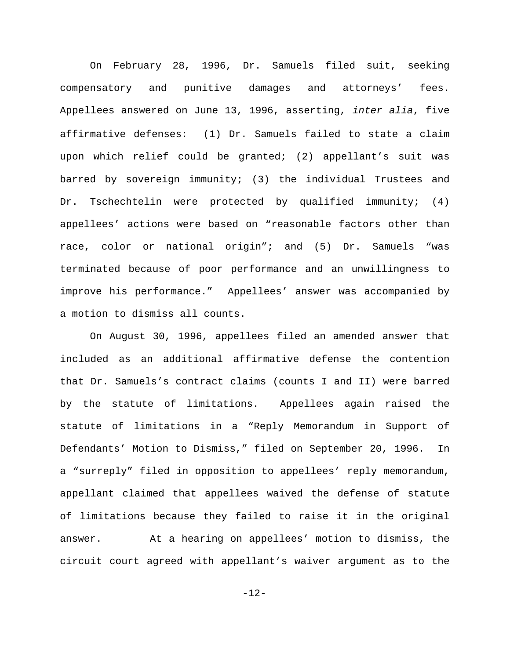On February 28, 1996, Dr. Samuels filed suit, seeking compensatory and punitive damages and attorneys' fees. Appellees answered on June 13, 1996, asserting, *inter alia*, five affirmative defenses: (1) Dr. Samuels failed to state a claim upon which relief could be granted; (2) appellant's suit was barred by sovereign immunity; (3) the individual Trustees and Dr. Tschechtelin were protected by qualified immunity; (4) appellees' actions were based on "reasonable factors other than race, color or national origin"; and (5) Dr. Samuels "was terminated because of poor performance and an unwillingness to improve his performance." Appellees' answer was accompanied by a motion to dismiss all counts.

On August 30, 1996, appellees filed an amended answer that included as an additional affirmative defense the contention that Dr. Samuels's contract claims (counts I and II) were barred by the statute of limitations. Appellees again raised the statute of limitations in a "Reply Memorandum in Support of Defendants' Motion to Dismiss," filed on September 20, 1996. In a "surreply" filed in opposition to appellees' reply memorandum, appellant claimed that appellees waived the defense of statute of limitations because they failed to raise it in the original answer. At a hearing on appellees' motion to dismiss, the circuit court agreed with appellant's waiver argument as to the

-12-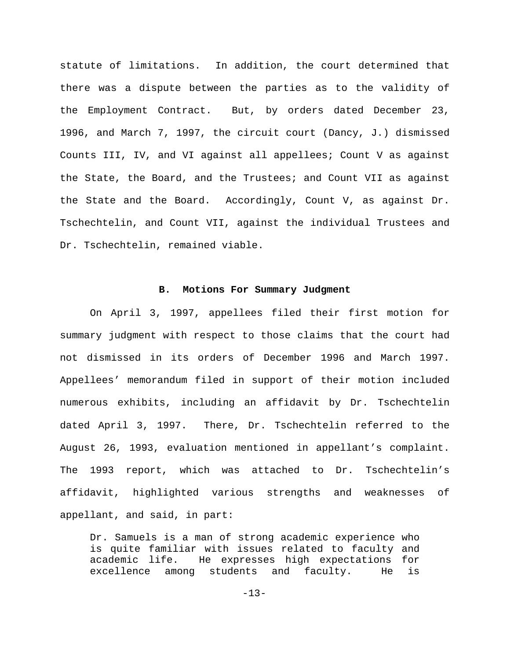statute of limitations. In addition, the court determined that there was a dispute between the parties as to the validity of the Employment Contract. But, by orders dated December 23, 1996, and March 7, 1997, the circuit court (Dancy, J.) dismissed Counts III, IV, and VI against all appellees; Count V as against the State, the Board, and the Trustees; and Count VII as against the State and the Board. Accordingly, Count V, as against Dr. Tschechtelin, and Count VII, against the individual Trustees and Dr. Tschechtelin, remained viable.

### **B. Motions For Summary Judgment**

On April 3, 1997, appellees filed their first motion for summary judgment with respect to those claims that the court had not dismissed in its orders of December 1996 and March 1997. Appellees' memorandum filed in support of their motion included numerous exhibits, including an affidavit by Dr. Tschechtelin dated April 3, 1997. There, Dr. Tschechtelin referred to the August 26, 1993, evaluation mentioned in appellant's complaint. The 1993 report, which was attached to Dr. Tschechtelin's affidavit, highlighted various strengths and weaknesses of appellant, and said, in part:

Dr. Samuels is a man of strong academic experience who is quite familiar with issues related to faculty and academic life. He expresses high expectations for excellence among students and faculty. He is

 $-13-$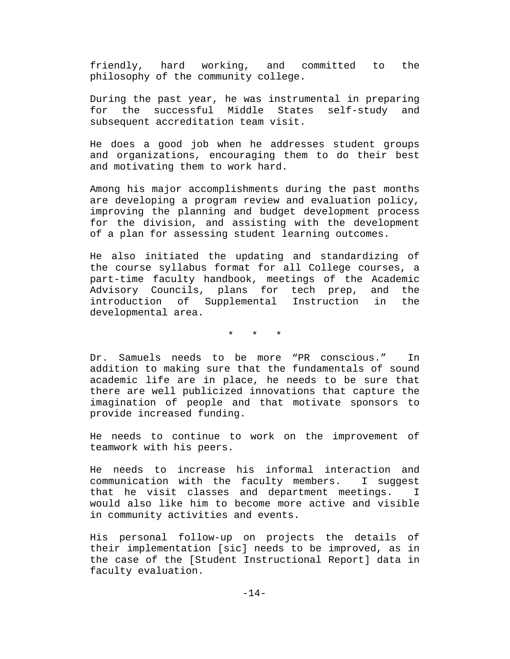friendly, hard working, and committed to the philosophy of the community college.

During the past year, he was instrumental in preparing for the successful Middle States self-study and subsequent accreditation team visit.

He does a good job when he addresses student groups and organizations, encouraging them to do their best and motivating them to work hard.

Among his major accomplishments during the past months are developing a program review and evaluation policy, improving the planning and budget development process for the division, and assisting with the development of a plan for assessing student learning outcomes.

He also initiated the updating and standardizing of the course syllabus format for all College courses, a part-time faculty handbook, meetings of the Academic Advisory Councils, plans for tech prep, and the introduction of Supplemental Instruction in the developmental area.

\* \* \*

Dr. Samuels needs to be more "PR conscious." In addition to making sure that the fundamentals of sound academic life are in place, he needs to be sure that there are well publicized innovations that capture the imagination of people and that motivate sponsors to provide increased funding.

He needs to continue to work on the improvement of teamwork with his peers.

He needs to increase his informal interaction and communication with the faculty members. I suggest that he visit classes and department meetings. I would also like him to become more active and visible in community activities and events.

His personal follow-up on projects the details of their implementation [sic] needs to be improved, as in the case of the [Student Instructional Report] data in faculty evaluation.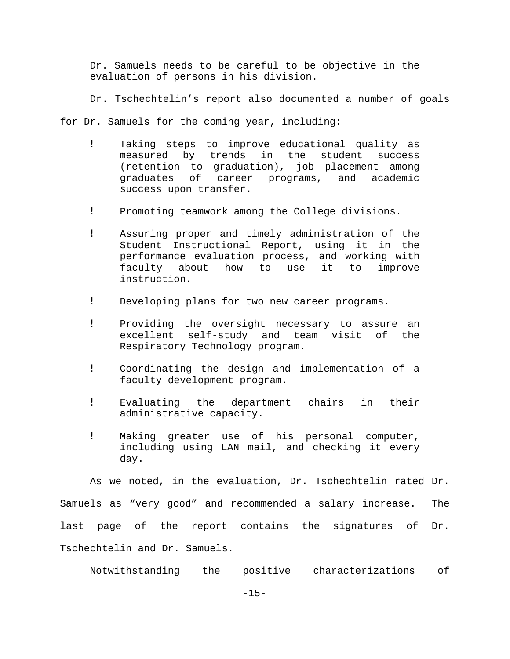Dr. Samuels needs to be careful to be objective in the evaluation of persons in his division.

Dr. Tschechtelin's report also documented a number of goals

for Dr. Samuels for the coming year, including:

- ! Taking steps to improve educational quality as measured by trends in the student success (retention to graduation), job placement among graduates of career programs, and academic success upon transfer.
- ! Promoting teamwork among the College divisions.
- ! Assuring proper and timely administration of the Student Instructional Report, using it in the performance evaluation process, and working with faculty about how to use it to improve instruction.
- ! Developing plans for two new career programs.
- ! Providing the oversight necessary to assure an excellent self-study and team visit of the Respiratory Technology program.
- ! Coordinating the design and implementation of a faculty development program.
- ! Evaluating the department chairs in their administrative capacity.
- ! Making greater use of his personal computer, including using LAN mail, and checking it every day.

As we noted, in the evaluation, Dr. Tschechtelin rated Dr. Samuels as "very good" and recommended a salary increase. The last page of the report contains the signatures of Dr. Tschechtelin and Dr. Samuels.

Notwithstanding the positive characterizations of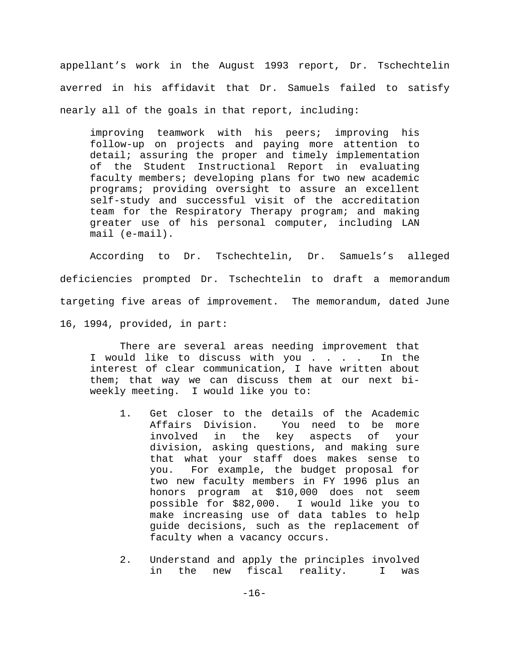appellant's work in the August 1993 report, Dr. Tschechtelin averred in his affidavit that Dr. Samuels failed to satisfy nearly all of the goals in that report, including:

improving teamwork with his peers; improving his follow-up on projects and paying more attention to detail; assuring the proper and timely implementation of the Student Instructional Report in evaluating faculty members; developing plans for two new academic programs; providing oversight to assure an excellent self-study and successful visit of the accreditation team for the Respiratory Therapy program; and making greater use of his personal computer, including LAN mail (e-mail).

According to Dr. Tschechtelin, Dr. Samuels's alleged deficiencies prompted Dr. Tschechtelin to draft a memorandum targeting five areas of improvement. The memorandum, dated June 16, 1994, provided, in part:

There are several areas needing improvement that I would like to discuss with you . . . . In the interest of clear communication, I have written about them; that way we can discuss them at our next biweekly meeting. I would like you to:

- 1. Get closer to the details of the Academic Affairs Division. You need to be more involved in the key aspects of your division, asking questions, and making sure that what your staff does makes sense to you. For example, the budget proposal for two new faculty members in FY 1996 plus an honors program at \$10,000 does not seem possible for \$82,000. I would like you to make increasing use of data tables to help guide decisions, such as the replacement of faculty when a vacancy occurs.
- 2. Understand and apply the principles involved in the new fiscal reality. I was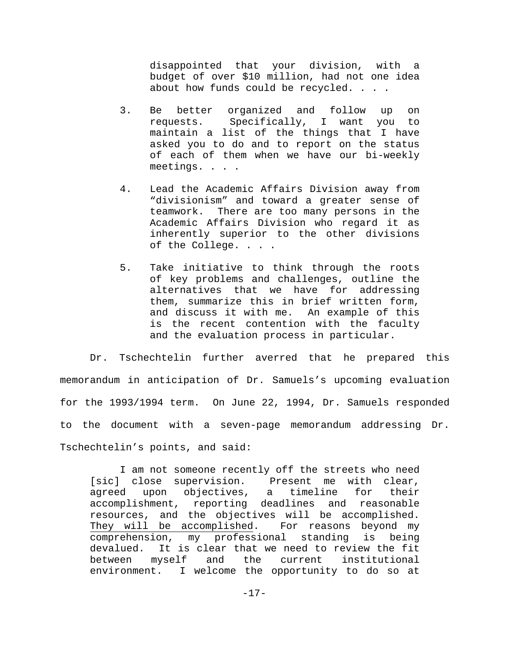disappointed that your division, with a budget of over \$10 million, had not one idea about how funds could be recycled. . . .

- 3. Be better organized and follow up on requests. Specifically, I want you to maintain a list of the things that I have asked you to do and to report on the status of each of them when we have our bi-weekly meetings. . . .
- 4. Lead the Academic Affairs Division away from "divisionism" and toward a greater sense of teamwork. There are too many persons in the Academic Affairs Division who regard it as inherently superior to the other divisions of the College. . . .
- 5. Take initiative to think through the roots of key problems and challenges, outline the alternatives that we have for addressing them, summarize this in brief written form, and discuss it with me. An example of this is the recent contention with the faculty and the evaluation process in particular.

Dr. Tschechtelin further averred that he prepared this memorandum in anticipation of Dr. Samuels's upcoming evaluation for the 1993/1994 term. On June 22, 1994, Dr. Samuels responded to the document with a seven-page memorandum addressing Dr. Tschechtelin's points, and said:

I am not someone recently off the streets who need [sic] close supervision. Present me with clear, agreed upon objectives, a timeline for their accomplishment, reporting deadlines and reasonable resources, and the objectives will be accomplished. They will be accomplished. For reasons beyond my comprehension, my professional standing is being devalued. It is clear that we need to review the fit between myself and the current institutional environment. I welcome the opportunity to do so at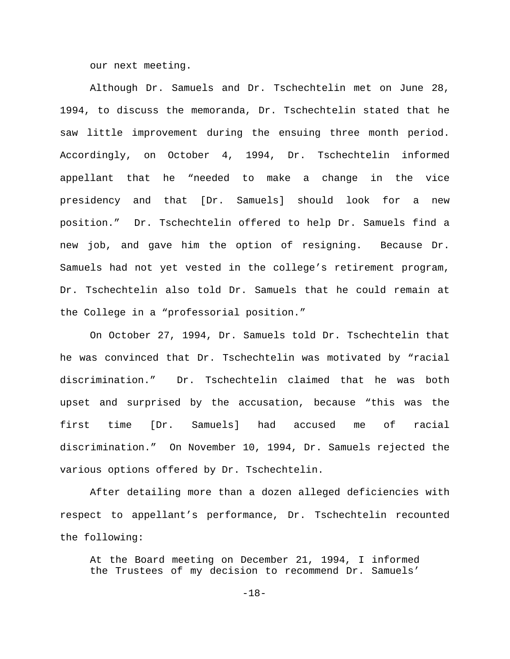our next meeting.

Although Dr. Samuels and Dr. Tschechtelin met on June 28, 1994, to discuss the memoranda, Dr. Tschechtelin stated that he saw little improvement during the ensuing three month period. Accordingly, on October 4, 1994, Dr. Tschechtelin informed appellant that he "needed to make a change in the vice presidency and that [Dr. Samuels] should look for a new position." Dr. Tschechtelin offered to help Dr. Samuels find a new job, and gave him the option of resigning. Because Dr. Samuels had not yet vested in the college's retirement program, Dr. Tschechtelin also told Dr. Samuels that he could remain at the College in a "professorial position."

On October 27, 1994, Dr. Samuels told Dr. Tschechtelin that he was convinced that Dr. Tschechtelin was motivated by "racial discrimination." Dr. Tschechtelin claimed that he was both upset and surprised by the accusation, because "this was the first time [Dr. Samuels] had accused me of racial discrimination." On November 10, 1994, Dr. Samuels rejected the various options offered by Dr. Tschechtelin.

After detailing more than a dozen alleged deficiencies with respect to appellant's performance, Dr. Tschechtelin recounted the following:

At the Board meeting on December 21, 1994, I informed the Trustees of my decision to recommend Dr. Samuels'

-18-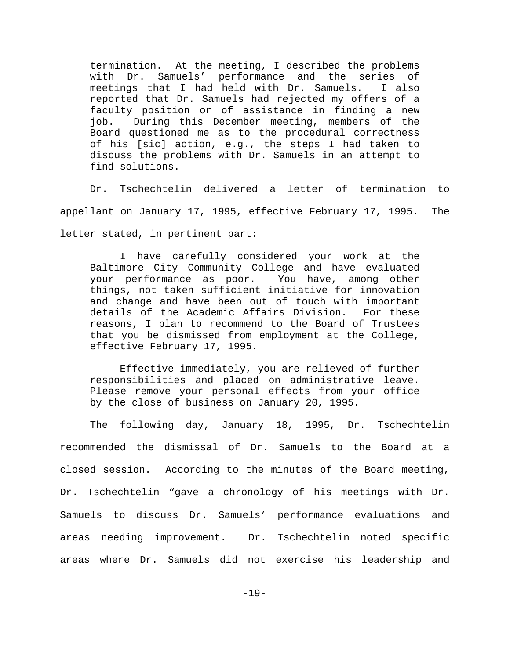termination. At the meeting, I described the problems with Dr. Samuels' performance and the series of meetings that I had held with Dr. Samuels. I also reported that Dr. Samuels had rejected my offers of a faculty position or of assistance in finding a new job. During this December meeting, members of the Board questioned me as to the procedural correctness of his [sic] action, e.g., the steps I had taken to discuss the problems with Dr. Samuels in an attempt to find solutions.

Dr. Tschechtelin delivered a letter of termination to appellant on January 17, 1995, effective February 17, 1995. The letter stated, in pertinent part:

I have carefully considered your work at the Baltimore City Community College and have evaluated your performance as poor. You have, among other things, not taken sufficient initiative for innovation and change and have been out of touch with important details of the Academic Affairs Division. For these reasons, I plan to recommend to the Board of Trustees that you be dismissed from employment at the College, effective February 17, 1995.

Effective immediately, you are relieved of further responsibilities and placed on administrative leave. Please remove your personal effects from your office by the close of business on January 20, 1995.

The following day, January 18, 1995, Dr. Tschechtelin recommended the dismissal of Dr. Samuels to the Board at a closed session. According to the minutes of the Board meeting, Dr. Tschechtelin "gave a chronology of his meetings with Dr. Samuels to discuss Dr. Samuels' performance evaluations and areas needing improvement. Dr. Tschechtelin noted specific areas where Dr. Samuels did not exercise his leadership and

-19-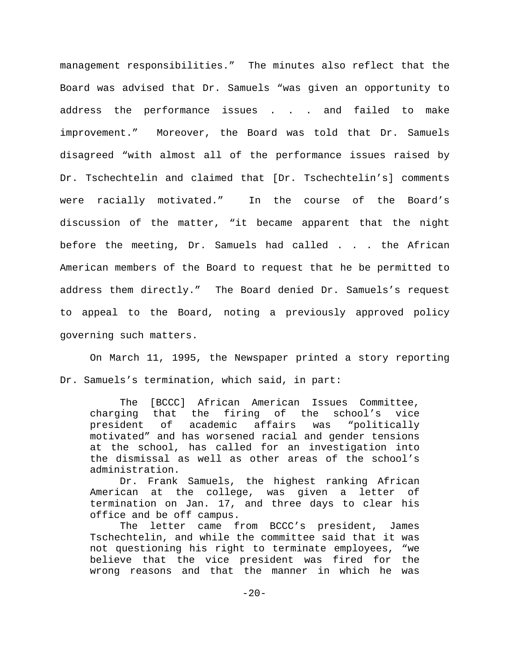management responsibilities." The minutes also reflect that the Board was advised that Dr. Samuels "was given an opportunity to address the performance issues . . . and failed to make improvement." Moreover, the Board was told that Dr. Samuels disagreed "with almost all of the performance issues raised by Dr. Tschechtelin and claimed that [Dr. Tschechtelin's] comments were racially motivated." In the course of the Board's discussion of the matter, "it became apparent that the night before the meeting, Dr. Samuels had called . . . the African American members of the Board to request that he be permitted to address them directly." The Board denied Dr. Samuels's request to appeal to the Board, noting a previously approved policy governing such matters.

On March 11, 1995, the Newspaper printed a story reporting Dr. Samuels's termination, which said, in part:

The [BCCC] African American Issues Committee, charging that the firing of the school's vice president of academic affairs was "politically motivated" and has worsened racial and gender tensions at the school, has called for an investigation into the dismissal as well as other areas of the school's administration.

Dr. Frank Samuels, the highest ranking African American at the college, was given a letter of termination on Jan. 17, and three days to clear his office and be off campus.

The letter came from BCCC's president, James Tschechtelin, and while the committee said that it was not questioning his right to terminate employees, "we believe that the vice president was fired for the wrong reasons and that the manner in which he was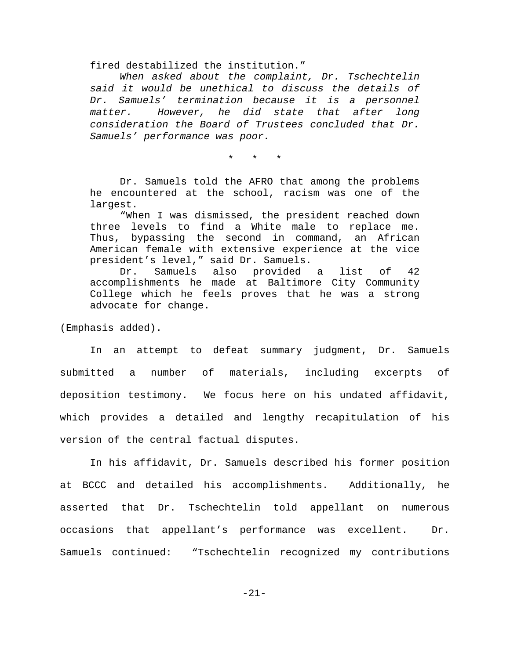fired destabilized the institution."

*When asked about the complaint, Dr. Tschechtelin said it would be unethical to discuss the details of Dr. Samuels' termination because it is a personnel matter. However, he did state that after long consideration the Board of Trustees concluded that Dr. Samuels' performance was poor.*

\* \* \*

Dr. Samuels told the AFRO that among the problems he encountered at the school, racism was one of the largest.

"When I was dismissed, the president reached down three levels to find a White male to replace me. Thus, bypassing the second in command, an African American female with extensive experience at the vice president's level," said Dr. Samuels.

Dr. Samuels also provided a list of 42 accomplishments he made at Baltimore City Community College which he feels proves that he was a strong advocate for change.

(Emphasis added).

In an attempt to defeat summary judgment, Dr. Samuels submitted a number of materials, including excerpts of deposition testimony. We focus here on his undated affidavit, which provides a detailed and lengthy recapitulation of his version of the central factual disputes.

In his affidavit, Dr. Samuels described his former position at BCCC and detailed his accomplishments. Additionally, he asserted that Dr. Tschechtelin told appellant on numerous occasions that appellant's performance was excellent. Dr. Samuels continued: "Tschechtelin recognized my contributions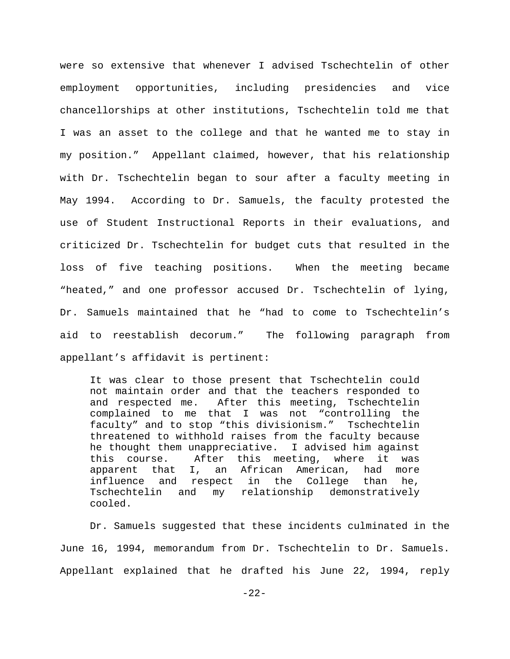were so extensive that whenever I advised Tschechtelin of other employment opportunities, including presidencies and vice chancellorships at other institutions, Tschechtelin told me that I was an asset to the college and that he wanted me to stay in my position." Appellant claimed, however, that his relationship with Dr. Tschechtelin began to sour after a faculty meeting in May 1994. According to Dr. Samuels, the faculty protested the use of Student Instructional Reports in their evaluations, and criticized Dr. Tschechtelin for budget cuts that resulted in the loss of five teaching positions. When the meeting became "heated," and one professor accused Dr. Tschechtelin of lying, Dr. Samuels maintained that he "had to come to Tschechtelin's aid to reestablish decorum." The following paragraph from appellant's affidavit is pertinent:

It was clear to those present that Tschechtelin could not maintain order and that the teachers responded to and respected me. After this meeting, Tschechtelin complained to me that I was not "controlling the faculty" and to stop "this divisionism." Tschechtelin threatened to withhold raises from the faculty because he thought them unappreciative. I advised him against this course. After this meeting, where it was apparent that I, an African American, had more influence and respect in the College than he, Tschechtelin and my relationship demonstratively cooled.

Dr. Samuels suggested that these incidents culminated in the June 16, 1994, memorandum from Dr. Tschechtelin to Dr. Samuels. Appellant explained that he drafted his June 22, 1994, reply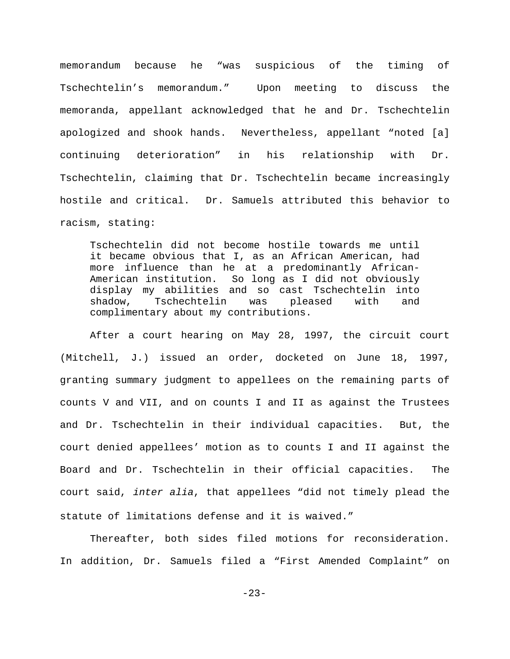memorandum because he "was suspicious of the timing of Tschechtelin's memorandum." Upon meeting to discuss the memoranda, appellant acknowledged that he and Dr. Tschechtelin apologized and shook hands. Nevertheless, appellant "noted [a] continuing deterioration" in his relationship with Dr. Tschechtelin, claiming that Dr. Tschechtelin became increasingly hostile and critical. Dr. Samuels attributed this behavior to racism, stating:

Tschechtelin did not become hostile towards me until it became obvious that I, as an African American, had more influence than he at a predominantly African-American institution. So long as I did not obviously display my abilities and so cast Tschechtelin into shadow, Tschechtelin was pleased with and complimentary about my contributions.

After a court hearing on May 28, 1997, the circuit court (Mitchell, J.) issued an order, docketed on June 18, 1997, granting summary judgment to appellees on the remaining parts of counts V and VII, and on counts I and II as against the Trustees and Dr. Tschechtelin in their individual capacities. But, the court denied appellees' motion as to counts I and II against the Board and Dr. Tschechtelin in their official capacities. The court said, *inter alia*, that appellees "did not timely plead the statute of limitations defense and it is waived."

Thereafter, both sides filed motions for reconsideration. In addition, Dr. Samuels filed a "First Amended Complaint" on

-23-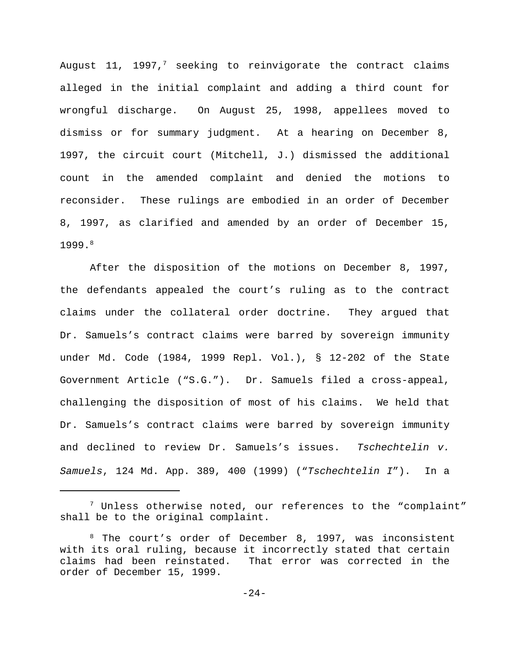August 11, 1997,<sup>7</sup> seeking to reinvigorate the contract claims alleged in the initial complaint and adding a third count for wrongful discharge. On August 25, 1998, appellees moved to dismiss or for summary judgment. At a hearing on December 8, 1997, the circuit court (Mitchell, J.) dismissed the additional count in the amended complaint and denied the motions to reconsider. These rulings are embodied in an order of December 8, 1997, as clarified and amended by an order of December 15, 1999. 8

After the disposition of the motions on December 8, 1997, the defendants appealed the court's ruling as to the contract claims under the collateral order doctrine. They argued that Dr. Samuels's contract claims were barred by sovereign immunity under Md. Code (1984, 1999 Repl. Vol.), § 12-202 of the State Government Article ("S.G."). Dr. Samuels filed a cross-appeal, challenging the disposition of most of his claims. We held that Dr. Samuels's contract claims were barred by sovereign immunity and declined to review Dr. Samuels's issues. *Tschechtelin v. Samuels*, 124 Md. App. 389, 400 (1999) ("*Tschechtelin I*"). In a

 $7$  Unless otherwise noted, our references to the "complaint" shall be to the original complaint.

<sup>&</sup>lt;sup>8</sup> The court's order of December 8, 1997, was inconsistent with its oral ruling, because it incorrectly stated that certain claims had been reinstated. That error was corrected in the order of December 15, 1999.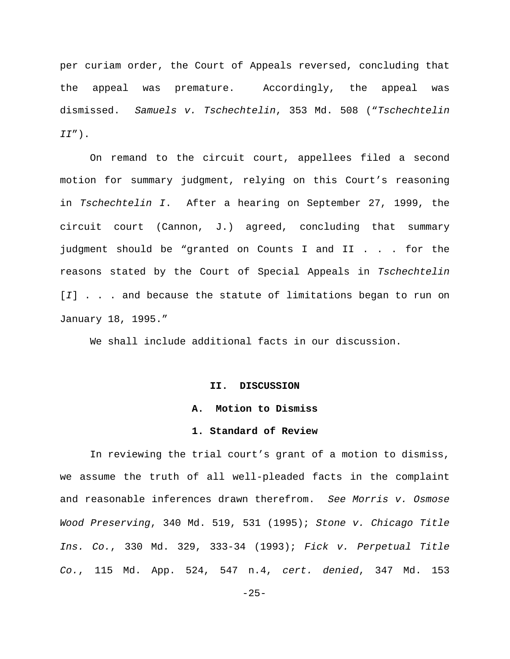per curiam order, the Court of Appeals reversed, concluding that the appeal was premature. Accordingly, the appeal was dismissed. *Samuels v. Tschechtelin*, 353 Md. 508 ("*Tschechtelin II*").

On remand to the circuit court, appellees filed a second motion for summary judgment, relying on this Court's reasoning in *Tschechtelin I*. After a hearing on September 27, 1999, the circuit court (Cannon, J.) agreed, concluding that summary judgment should be "granted on Counts I and II . . . for the reasons stated by the Court of Special Appeals in *Tschechtelin* [*I*] . . . and because the statute of limitations began to run on January 18, 1995."

We shall include additional facts in our discussion.

#### **II. DISCUSSION**

## **A. Motion to Dismiss**

### **1. Standard of Review**

In reviewing the trial court's grant of a motion to dismiss, we assume the truth of all well-pleaded facts in the complaint and reasonable inferences drawn therefrom. *See Morris v. Osmose Wood Preserving*, 340 Md. 519, 531 (1995); *Stone v. Chicago Title Ins. Co.*, 330 Md. 329, 333-34 (1993); *Fick v. Perpetual Title Co.*, 115 Md. App. 524, 547 n.4, *cert. denied*, 347 Md. 153

 $-25-$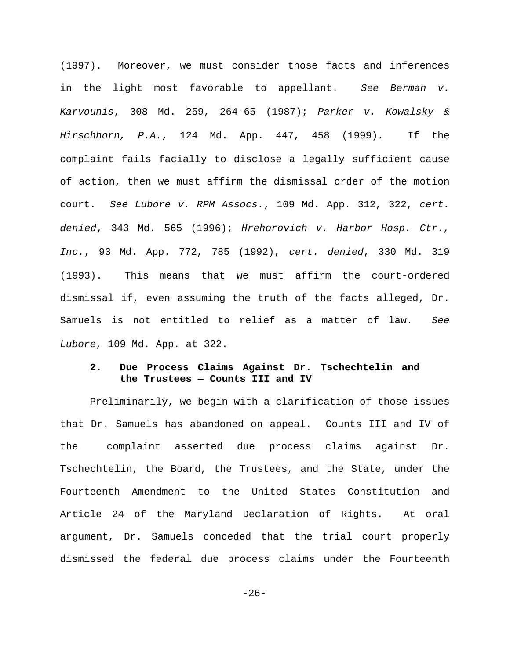(1997). Moreover, we must consider those facts and inferences in the light most favorable to appellant. *See Berman v. Karvounis*, 308 Md. 259, 264-65 (1987); *Parker v. Kowalsky & Hirschhorn, P.A.*, 124 Md. App. 447, 458 (1999)*.* If the complaint fails facially to disclose a legally sufficient cause of action, then we must affirm the dismissal order of the motion court. *See Lubore v. RPM Assocs.*, 109 Md. App. 312, 322, *cert. denied*, 343 Md. 565 (1996); *Hrehorovich v. Harbor Hosp. Ctr., Inc.*, 93 Md. App. 772, 785 (1992), *cert. denied*, 330 Md. 319 (1993). This means that we must affirm the court-ordered dismissal if, even assuming the truth of the facts alleged, Dr. Samuels is not entitled to relief as a matter of law. *See Lubore*, 109 Md. App. at 322.

# **2. Due Process Claims Against Dr. Tschechtelin and the Trustees — Counts III and IV**

Preliminarily, we begin with a clarification of those issues that Dr. Samuels has abandoned on appeal. Counts III and IV of the complaint asserted due process claims against Dr. Tschechtelin, the Board, the Trustees, and the State, under the Fourteenth Amendment to the United States Constitution and Article 24 of the Maryland Declaration of Rights. At oral argument, Dr. Samuels conceded that the trial court properly dismissed the federal due process claims under the Fourteenth

 $-26-$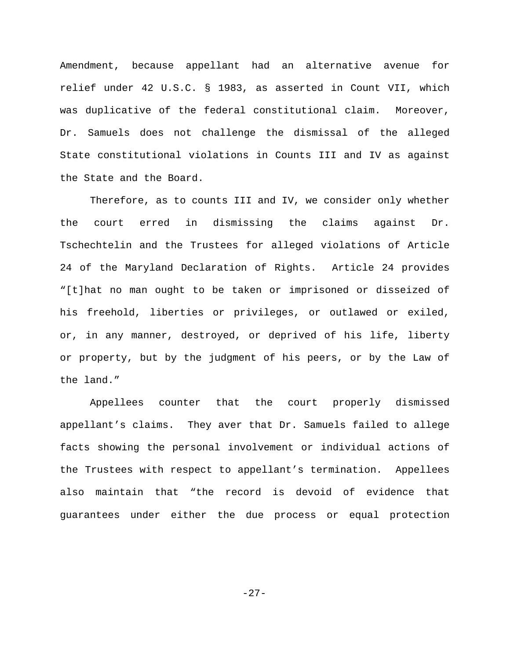Amendment, because appellant had an alternative avenue for relief under 42 U.S.C. § 1983, as asserted in Count VII, which was duplicative of the federal constitutional claim. Moreover, Dr. Samuels does not challenge the dismissal of the alleged State constitutional violations in Counts III and IV as against the State and the Board.

Therefore, as to counts III and IV, we consider only whether the court erred in dismissing the claims against Dr. Tschechtelin and the Trustees for alleged violations of Article 24 of the Maryland Declaration of Rights. Article 24 provides "[t]hat no man ought to be taken or imprisoned or disseized of his freehold, liberties or privileges, or outlawed or exiled, or, in any manner, destroyed, or deprived of his life, liberty or property, but by the judgment of his peers, or by the Law of the land."

Appellees counter that the court properly dismissed appellant's claims. They aver that Dr. Samuels failed to allege facts showing the personal involvement or individual actions of the Trustees with respect to appellant's termination. Appellees also maintain that "the record is devoid of evidence that guarantees under either the due process or equal protection

-27-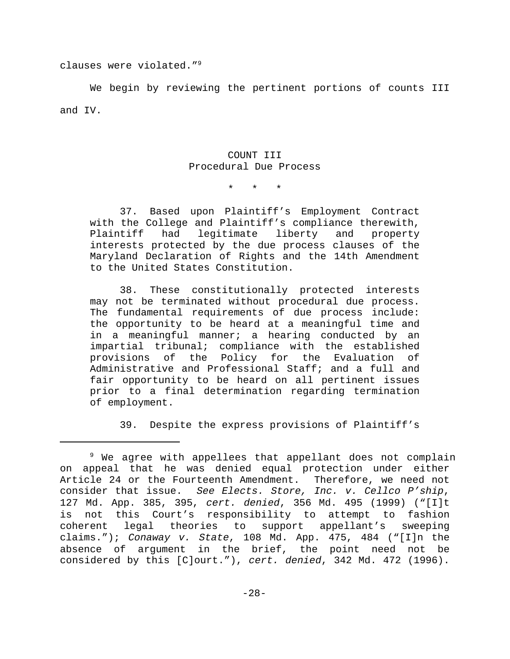clauses were violated."<sup>9</sup>

We begin by reviewing the pertinent portions of counts III and IV.

# COUNT III Procedural Due Process

\* \* \*

37. Based upon Plaintiff's Employment Contract with the College and Plaintiff's compliance therewith, Plaintiff had legitimate liberty and property interests protected by the due process clauses of the Maryland Declaration of Rights and the 14th Amendment to the United States Constitution.

38. These constitutionally protected interests may not be terminated without procedural due process. The fundamental requirements of due process include: the opportunity to be heard at a meaningful time and in a meaningful manner; a hearing conducted by an impartial tribunal; compliance with the established provisions of the Policy for the Evaluation of Administrative and Professional Staff; and a full and fair opportunity to be heard on all pertinent issues prior to a final determination regarding termination of employment.

39. Despite the express provisions of Plaintiff's

 $9$  We agree with appellees that appellant does not complain on appeal that he was denied equal protection under either Article 24 or the Fourteenth Amendment. Therefore, we need not consider that issue. *See Elects. Store, Inc. v. Cellco P'ship*, 127 Md. App. 385, 395, *cert. denied*, 356 Md. 495 (1999) ("[I]t is not this Court's responsibility to attempt to fashion coherent legal theories to support appellant's sweeping claims."); *Conaway v. State*, 108 Md. App. 475, 484 ("[I]n the absence of argument in the brief, the point need not be considered by this [C]ourt."), *cert. denied*, 342 Md. 472 (1996).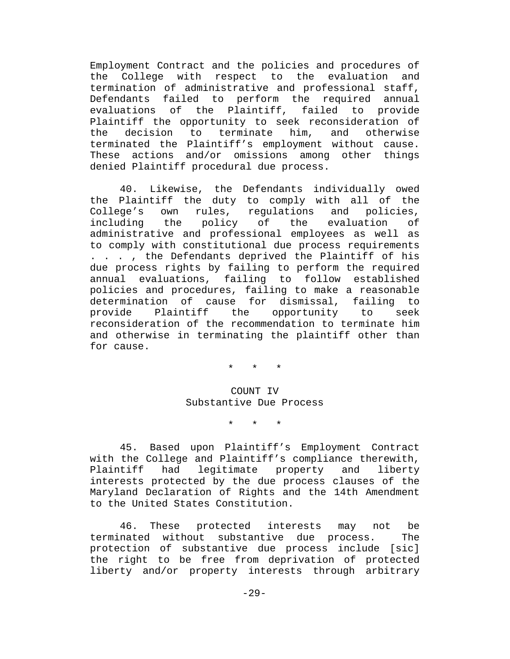Employment Contract and the policies and procedures of the College with respect to the evaluation and termination of administrative and professional staff, Defendants failed to perform the required annual evaluations of the Plaintiff, failed to provide Plaintiff the opportunity to seek reconsideration of the decision to terminate him, and otherwise terminated the Plaintiff's employment without cause. These actions and/or omissions among other things denied Plaintiff procedural due process.

40. Likewise, the Defendants individually owed the Plaintiff the duty to comply with all of the College's own rules, regulations and policies, including the policy of the evaluation of administrative and professional employees as well as to comply with constitutional due process requirements . . . , the Defendants deprived the Plaintiff of his due process rights by failing to perform the required annual evaluations, failing to follow established policies and procedures, failing to make a reasonable determination of cause for dismissal, failing to provide Plaintiff the opportunity to seek reconsideration of the recommendation to terminate him and otherwise in terminating the plaintiff other than for cause.

\* \* \*

# COUNT IV Substantive Due Process

\* \* \*

45. Based upon Plaintiff's Employment Contract with the College and Plaintiff's compliance therewith, Plaintiff had legitimate property and liberty interests protected by the due process clauses of the Maryland Declaration of Rights and the 14th Amendment to the United States Constitution.

46. These protected interests may not be terminated without substantive due process. The protection of substantive due process include [sic] the right to be free from deprivation of protected liberty and/or property interests through arbitrary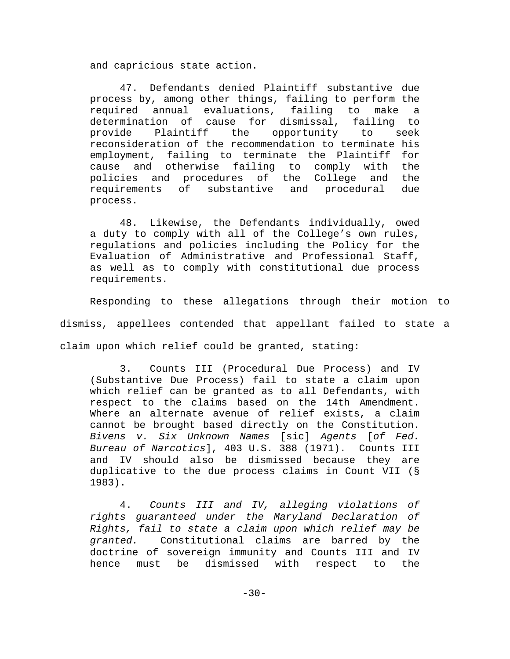and capricious state action.

47. Defendants denied Plaintiff substantive due process by, among other things, failing to perform the required annual evaluations, failing to make a determination of cause for dismissal, failing to provide Plaintiff the opportunity to seek reconsideration of the recommendation to terminate his employment, failing to terminate the Plaintiff for cause and otherwise failing to comply with the policies and procedures of the College and the requirements of substantive and procedural due process.

48. Likewise, the Defendants individually, owed a duty to comply with all of the College's own rules, regulations and policies including the Policy for the Evaluation of Administrative and Professional Staff, as well as to comply with constitutional due process requirements.

Responding to these allegations through their motion to dismiss, appellees contended that appellant failed to state a claim upon which relief could be granted, stating:

3. Counts III (Procedural Due Process) and IV (Substantive Due Process) fail to state a claim upon which relief can be granted as to all Defendants, with respect to the claims based on the 14th Amendment. Where an alternate avenue of relief exists, a claim cannot be brought based directly on the Constitution. *Bivens v. Six Unknown Names* [sic] *Agents* [*of Fed. Bureau of Narcotics*], 403 U.S. 388 (1971). Counts III and IV should also be dismissed because they are duplicative to the due process claims in Count VII (§ 1983).

4. *Counts III and IV, alleging violations of rights guaranteed under the Maryland Declaration of Rights, fail to state a claim upon which relief may be granted.* Constitutional claims are barred by the doctrine of sovereign immunity and Counts III and IV hence must be dismissed with respect to the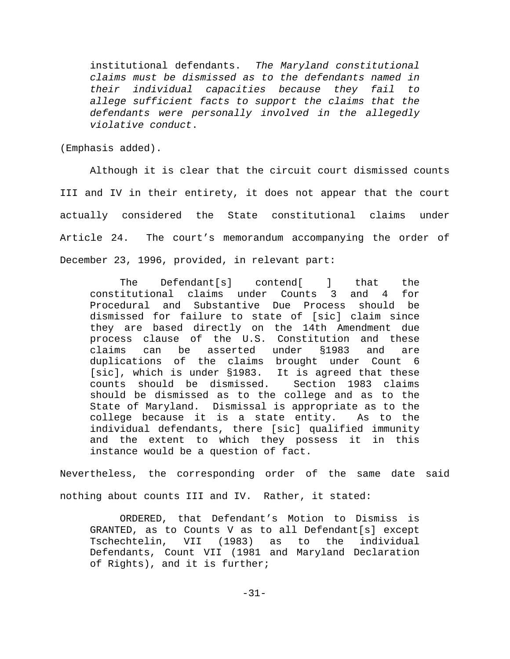institutional defendants. *The Maryland constitutional claims must be dismissed as to the defendants named in their individual capacities because they fail to allege sufficient facts to support the claims that the defendants were personally involved in the allegedly violative conduct*.

(Emphasis added).

Although it is clear that the circuit court dismissed counts III and IV in their entirety, it does not appear that the court actually considered the State constitutional claims under Article 24. The court's memorandum accompanying the order of December 23, 1996, provided, in relevant part:

The Defendant[s] contend[ ] that the constitutional claims under Counts 3 and 4 for Procedural and Substantive Due Process should be dismissed for failure to state of [sic] claim since they are based directly on the 14th Amendment due process clause of the U.S. Constitution and these claims can be asserted under §1983 and are duplications of the claims brought under Count 6 [sic], which is under §1983. It is agreed that these counts should be dismissed. Section 1983 claims should be dismissed as to the college and as to the State of Maryland. Dismissal is appropriate as to the college because it is a state entity. As to the individual defendants, there [sic] qualified immunity and the extent to which they possess it in this instance would be a question of fact.

Nevertheless, the corresponding order of the same date said nothing about counts III and IV. Rather, it stated:

ORDERED, that Defendant's Motion to Dismiss is GRANTED, as to Counts V as to all Defendant[s] except Tschechtelin, VII (1983) as to the individual Defendants, Count VII (1981 and Maryland Declaration of Rights), and it is further;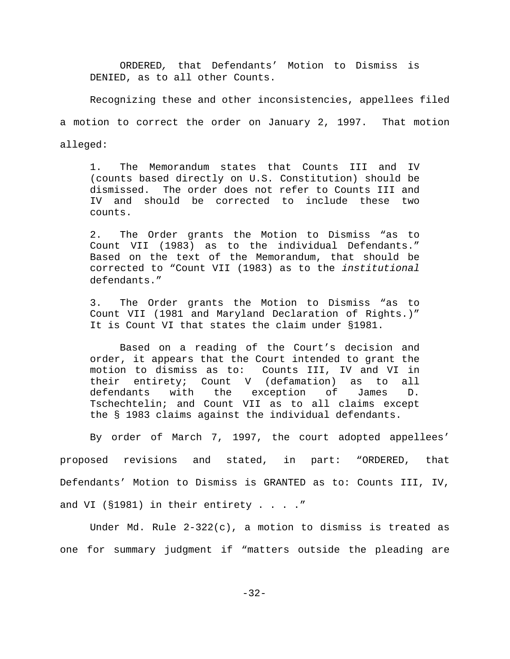ORDERED*,* that Defendants' Motion to Dismiss is DENIED, as to all other Counts.

Recognizing these and other inconsistencies, appellees filed

a motion to correct the order on January 2, 1997. That motion

alleged:

1. The Memorandum states that Counts III and IV (counts based directly on U.S. Constitution) should be dismissed. The order does not refer to Counts III and IV and should be corrected to include these two counts.

2. The Order grants the Motion to Dismiss "as to Count VII (1983) as to the individual Defendants." Based on the text of the Memorandum, that should be corrected to "Count VII (1983) as to the *institutional* defendants."

3. The Order grants the Motion to Dismiss "as to Count VII (1981 and Maryland Declaration of Rights.)" It is Count VI that states the claim under §1981.

Based on a reading of the Court's decision and order, it appears that the Court intended to grant the motion to dismiss as to: Counts III, IV and VI in their entirety; Count V (defamation) as to all defendants with the exception of James D. Tschechtelin; and Count VII as to all claims except the § 1983 claims against the individual defendants.

By order of March 7, 1997, the court adopted appellees' proposed revisions and stated, in part: "ORDERED, that Defendants' Motion to Dismiss is GRANTED as to: Counts III, IV, and VI (§1981) in their entirety . . . ."

Under Md. Rule 2-322(c), a motion to dismiss is treated as one for summary judgment if "matters outside the pleading are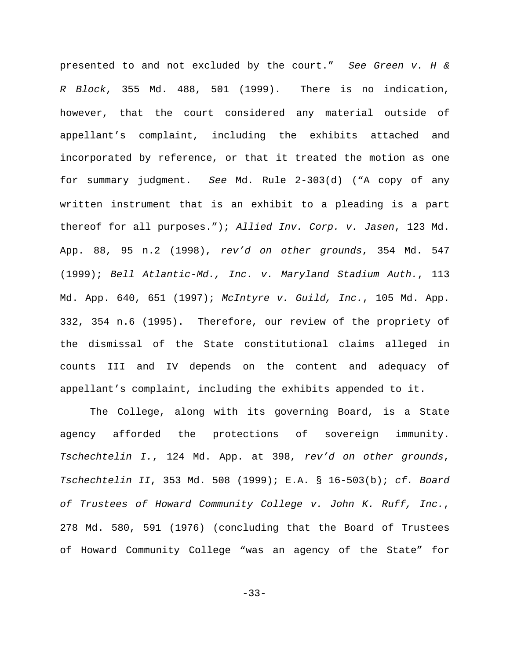presented to and not excluded by the court." *See Green v. H & R Block*, 355 Md. 488, 501 (1999). There is no indication, however, that the court considered any material outside of appellant's complaint, including the exhibits attached and incorporated by reference, or that it treated the motion as one for summary judgment. *See* Md. Rule 2-303(d) ("A copy of any written instrument that is an exhibit to a pleading is a part thereof for all purposes."); *Allied Inv. Corp. v. Jasen*, 123 Md. App. 88, 95 n.2 (1998), *rev'd on other grounds*, 354 Md. 547 (1999); *Bell Atlantic-Md., Inc. v. Maryland Stadium Auth.*, 113 Md. App. 640, 651 (1997); *McIntyre v. Guild, Inc.*, 105 Md. App. 332, 354 n.6 (1995). Therefore, our review of the propriety of the dismissal of the State constitutional claims alleged in counts III and IV depends on the content and adequacy of appellant's complaint, including the exhibits appended to it.

The College, along with its governing Board, is a State agency afforded the protections of sovereign immunity. *Tschechtelin I.*, 124 Md. App. at 398, *rev'd on other grounds*, *Tschechtelin II*, 353 Md. 508 (1999); E.A. § 16-503(b); *cf. Board of Trustees of Howard Community College v. John K. Ruff, Inc.*, 278 Md. 580, 591 (1976) (concluding that the Board of Trustees of Howard Community College "was an agency of the State" for

-33-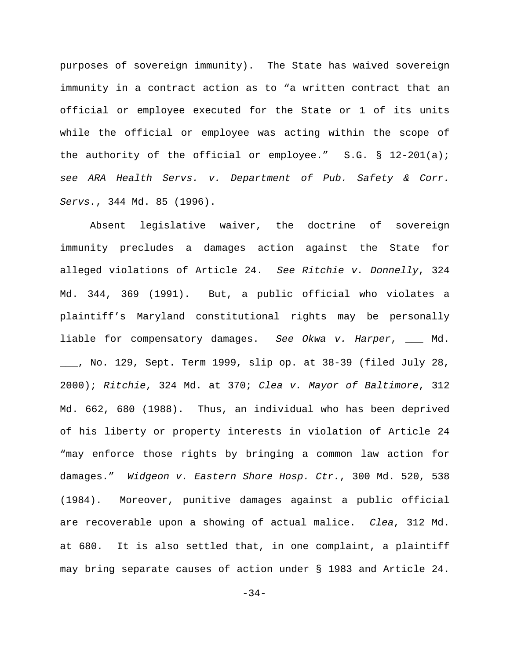purposes of sovereign immunity). The State has waived sovereign immunity in a contract action as to "a written contract that an official or employee executed for the State or 1 of its units while the official or employee was acting within the scope of the authority of the official or employee." S.G. § 12-201(a); *see ARA Health Servs. v. Department of Pub. Safety & Corr. Servs.*, 344 Md. 85 (1996).

Absent legislative waiver, the doctrine of sovereign immunity precludes a damages action against the State for alleged violations of Article 24. *See Ritchie v. Donnelly*, 324 Md. 344, 369 (1991). But, a public official who violates a plaintiff's Maryland constitutional rights may be personally liable for compensatory damages. *See Okwa v. Harper*, \_\_\_ Md. \_\_\_, No. 129, Sept. Term 1999, slip op. at 38-39 (filed July 28, 2000); *Ritchie*, 324 Md. at 370; *Clea v. Mayor of Baltimore*, 312 Md. 662, 680 (1988). Thus, an individual who has been deprived of his liberty or property interests in violation of Article 24 "may enforce those rights by bringing a common law action for damages." *Widgeon v. Eastern Shore Hosp. Ctr.*, 300 Md. 520, 538 (1984). Moreover, punitive damages against a public official are recoverable upon a showing of actual malice. *Clea*, 312 Md. at 680. It is also settled that, in one complaint, a plaintiff may bring separate causes of action under § 1983 and Article 24.

-34-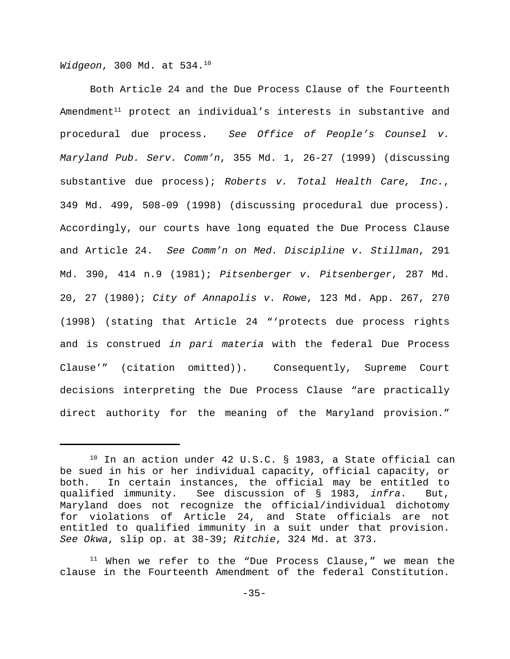*Widgeon*, 300 Md. at 534. 10

Both Article 24 and the Due Process Clause of the Fourteenth Amendment $^{\rm 11}$  protect an individual's interests in substantive and procedural due process. *See Office of People's Counsel v. Maryland Pub. Serv. Comm'n*, 355 Md. 1, 26-27 (1999) (discussing substantive due process); *Roberts v. Total Health Care, Inc.*, 349 Md. 499, 508-09 (1998) (discussing procedural due process). Accordingly, our courts have long equated the Due Process Clause and Article 24. *See Comm'n on Med. Discipline v. Stillman*, 291 Md. 390, 414 n.9 (1981); *Pitsenberger v. Pitsenberger*, 287 Md. 20, 27 (1980); *City of Annapolis v. Rowe*, 123 Md. App. 267, 270 (1998) (stating that Article 24 "'protects due process rights and is construed *in pari materia* with the federal Due Process Clause'" (citation omitted)). Consequently, Supreme Court decisions interpreting the Due Process Clause "are practically direct authority for the meaning of the Maryland provision."

 $^{10}$  In an action under 42 U.S.C. § 1983, a State official can be sued in his or her individual capacity, official capacity, or both. In certain instances, the official may be entitled to qualified immunity. See discussion of § 1983, *infra*. But, Maryland does not recognize the official/individual dichotomy for violations of Article 24, and State officials are not entitled to qualified immunity in a suit under that provision. *See Okwa*, slip op. at 38-39; *Ritchie*, 324 Md. at 373.

 $11$  When we refer to the "Due Process Clause," we mean the clause in the Fourteenth Amendment of the federal Constitution.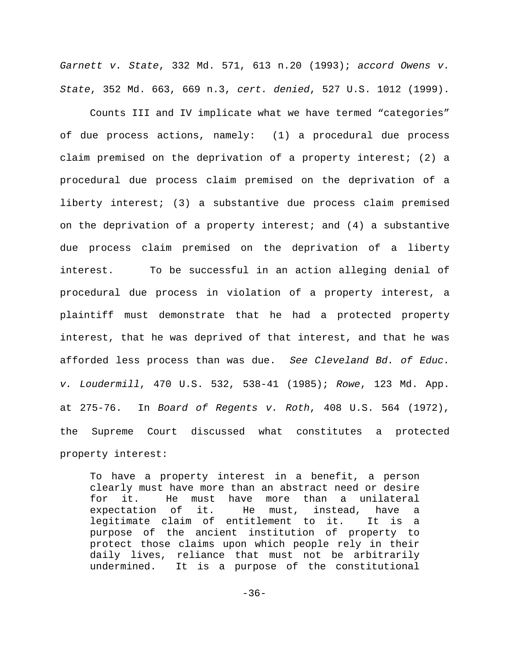*Garnett v. State*, 332 Md. 571, 613 n.20 (1993); *accord Owens v. State*, 352 Md. 663, 669 n.3, *cert. denied*, 527 U.S. 1012 (1999).

Counts III and IV implicate what we have termed "categories" of due process actions, namely: (1) a procedural due process claim premised on the deprivation of a property interest; (2) a procedural due process claim premised on the deprivation of a liberty interest; (3) a substantive due process claim premised on the deprivation of a property interest; and (4) a substantive due process claim premised on the deprivation of a liberty interest. To be successful in an action alleging denial of procedural due process in violation of a property interest, a plaintiff must demonstrate that he had a protected property interest, that he was deprived of that interest, and that he was afforded less process than was due. *See Cleveland Bd. of Educ. v. Loudermill*, 470 U.S. 532, 538-41 (1985); *Rowe*, 123 Md. App. at 275-76. In *Board of Regents v. Roth*, 408 U.S. 564 (1972), the Supreme Court discussed what constitutes a protected property interest:

To have a property interest in a benefit, a person clearly must have more than an abstract need or desire for it. He must have more than a unilateral expectation of it. He must, instead, have a legitimate claim of entitlement to it. It is a purpose of the ancient institution of property to protect those claims upon which people rely in their daily lives, reliance that must not be arbitrarily undermined. It is a purpose of the constitutional

-36-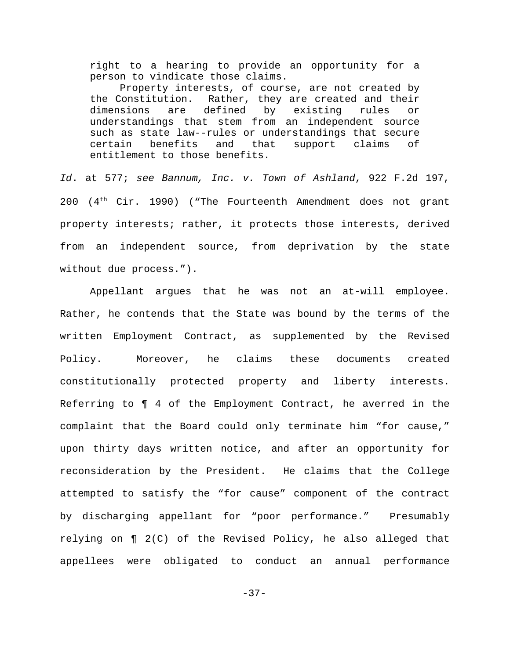right to a hearing to provide an opportunity for a person to vindicate those claims.

Property interests, of course, are not created by the Constitution. Rather, they are created and their dimensions are defined by existing rules or understandings that stem from an independent source such as state law--rules or understandings that secure certain benefits and that support claims of entitlement to those benefits.

*Id*. at 577; *see Bannum, Inc. v. Town of Ashland*, 922 F.2d 197, 200  $(4<sup>th</sup> Cir. 1990)$  ("The Fourteenth Amendment does not grant property interests; rather, it protects those interests, derived from an independent source, from deprivation by the state without due process.").

Appellant argues that he was not an at-will employee. Rather, he contends that the State was bound by the terms of the written Employment Contract, as supplemented by the Revised Policy. Moreover, he claims these documents created constitutionally protected property and liberty interests. Referring to ¶ 4 of the Employment Contract, he averred in the complaint that the Board could only terminate him "for cause," upon thirty days written notice, and after an opportunity for reconsideration by the President. He claims that the College attempted to satisfy the "for cause" component of the contract by discharging appellant for "poor performance." Presumably relying on ¶ 2(C) of the Revised Policy, he also alleged that appellees were obligated to conduct an annual performance

-37-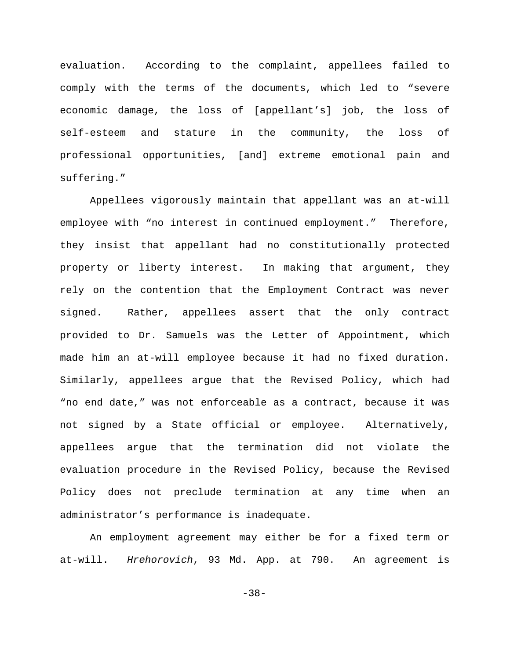evaluation. According to the complaint, appellees failed to comply with the terms of the documents, which led to "severe economic damage, the loss of [appellant's] job, the loss of self-esteem and stature in the community, the loss of professional opportunities, [and] extreme emotional pain and suffering."

Appellees vigorously maintain that appellant was an at-will employee with "no interest in continued employment." Therefore, they insist that appellant had no constitutionally protected property or liberty interest. In making that argument, they rely on the contention that the Employment Contract was never signed. Rather, appellees assert that the only contract provided to Dr. Samuels was the Letter of Appointment, which made him an at-will employee because it had no fixed duration. Similarly, appellees argue that the Revised Policy, which had "no end date," was not enforceable as a contract, because it was not signed by a State official or employee. Alternatively, appellees argue that the termination did not violate the evaluation procedure in the Revised Policy, because the Revised Policy does not preclude termination at any time when an administrator's performance is inadequate.

An employment agreement may either be for a fixed term or at-will. *Hrehorovich*, 93 Md. App. at 790. An agreement is

-38-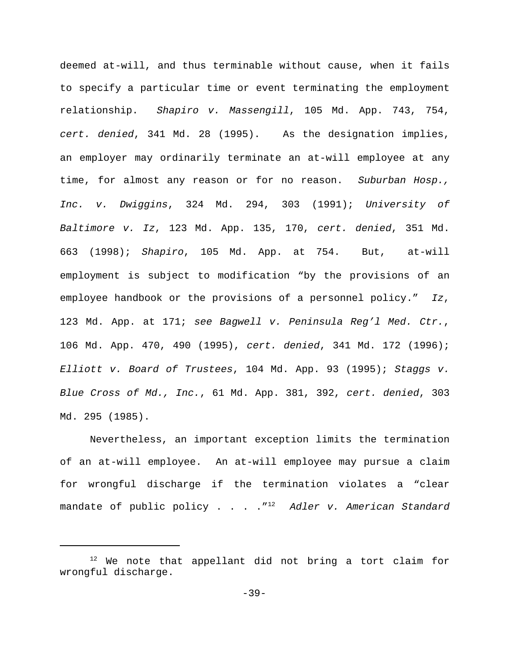deemed at-will, and thus terminable without cause, when it fails to specify a particular time or event terminating the employment relationship. *Shapiro v. Massengill*, 105 Md. App. 743, 754, *cert. denied*, 341 Md. 28 (1995). As the designation implies, an employer may ordinarily terminate an at-will employee at any time, for almost any reason or for no reason. *Suburban Hosp., Inc. v. Dwiggins*, 324 Md. 294, 303 (1991); *University of Baltimore v. Iz*, 123 Md. App. 135, 170, *cert. denied*, 351 Md. 663 (1998); *Shapiro*, 105 Md. App. at 754. But, at-will employment is subject to modification "by the provisions of an employee handbook or the provisions of a personnel policy." *Iz*, 123 Md. App. at 171; *see Bagwell v. Peninsula Reg'l Med. Ctr.*, 106 Md. App. 470, 490 (1995), *cert. denied*, 341 Md. 172 (1996); *Elliott v. Board of Trustees*, 104 Md. App. 93 (1995); *Staggs v. Blue Cross of Md., Inc.*, 61 Md. App. 381, 392, *cert. denied*, 303 Md. 295 (1985).

Nevertheless, an important exception limits the termination of an at-will employee. An at-will employee may pursue a claim for wrongful discharge if the termination violates a "clear mandate of public policy . . . ."<sup>12</sup> Ad*ler v. American Standard* 

<sup>&</sup>lt;sup>12</sup> We note that appellant did not bring a tort claim for wrongful discharge.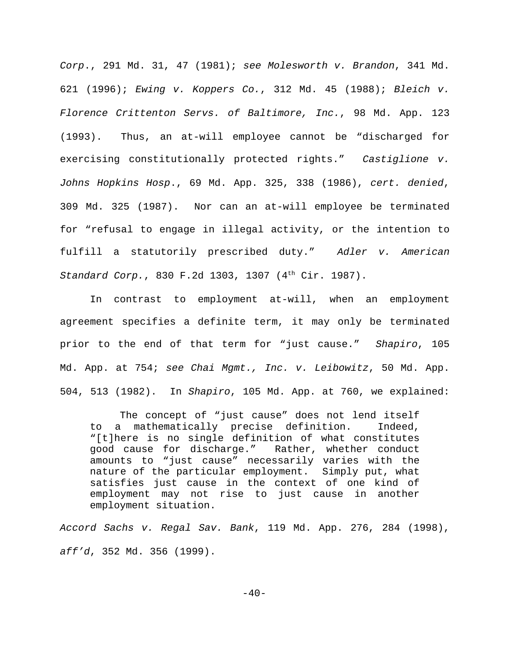*Corp*., 291 Md. 31, 47 (1981); *see Molesworth v. Brandon*, 341 Md. 621 (1996); *Ewing v. Koppers Co.*, 312 Md. 45 (1988); *Bleich v. Florence Crittenton Servs. of Baltimore, Inc.*, 98 Md. App. 123 (1993). Thus, an at-will employee cannot be "discharged for exercising constitutionally protected rights." *Castiglione v. Johns Hopkins Hosp*., 69 Md. App. 325, 338 (1986), *cert. denied*, 309 Md. 325 (1987). Nor can an at-will employee be terminated for "refusal to engage in illegal activity, or the intention to fulfill a statutorily prescribed duty." *Adler v. American Standard Corp.*, 830 F.2d 1303, 1307 (4<sup>th</sup> Cir. 1987).

In contrast to employment at-will, when an employment agreement specifies a definite term, it may only be terminated prior to the end of that term for "just cause." *Shapiro*, 105 Md. App. at 754; *see Chai Mgmt., Inc. v. Leibowitz*, 50 Md. App. 504, 513 (1982). In *Shapiro*, 105 Md. App. at 760, we explained:

The concept of "just cause" does not lend itself to a mathematically precise definition. Indeed, "[t]here is no single definition of what constitutes good cause for discharge." Rather, whether conduct amounts to "just cause" necessarily varies with the nature of the particular employment. Simply put, what satisfies just cause in the context of one kind of employment may not rise to just cause in another employment situation.

*Accord Sachs v. Regal Sav. Bank*, 119 Md. App. 276, 284 (1998), *aff'd*, 352 Md. 356 (1999).

 $-40-$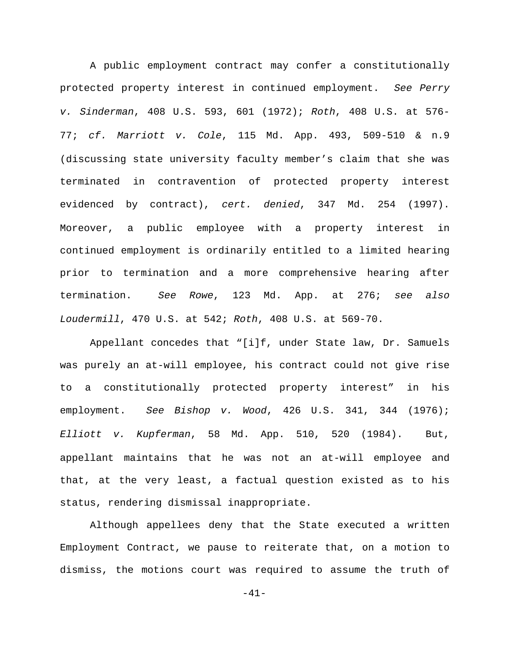A public employment contract may confer a constitutionally protected property interest in continued employment. *See Perry v. Sinderman*, 408 U.S. 593, 601 (1972); *Roth*, 408 U.S. at 576- 77; *cf. Marriott v. Cole*, 115 Md. App. 493, 509-510 & n.9 (discussing state university faculty member's claim that she was terminated in contravention of protected property interest evidenced by contract), *cert. denied*, 347 Md. 254 (1997). Moreover, a public employee with a property interest in continued employment is ordinarily entitled to a limited hearing prior to termination and a more comprehensive hearing after termination. *See Rowe*, 123 Md. App. at 276; *see also Loudermill*, 470 U.S. at 542; *Roth*, 408 U.S. at 569-70.

Appellant concedes that "[i]f, under State law, Dr. Samuels was purely an at-will employee, his contract could not give rise to a constitutionally protected property interest" in his employment. *See Bishop v. Wood*, 426 U.S. 341, 344 (1976); *Elliott v. Kupferman*, 58 Md. App. 510, 520 (1984). But, appellant maintains that he was not an at-will employee and that, at the very least, a factual question existed as to his status, rendering dismissal inappropriate.

Although appellees deny that the State executed a written Employment Contract, we pause to reiterate that, on a motion to dismiss, the motions court was required to assume the truth of

-41-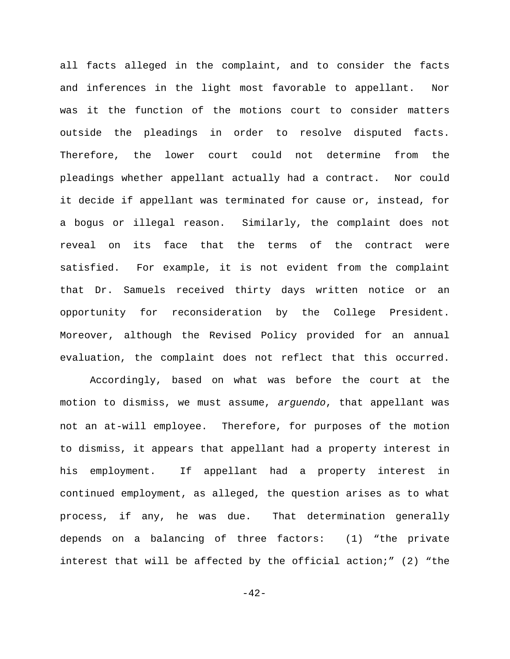all facts alleged in the complaint, and to consider the facts and inferences in the light most favorable to appellant. Nor was it the function of the motions court to consider matters outside the pleadings in order to resolve disputed facts. Therefore, the lower court could not determine from the pleadings whether appellant actually had a contract. Nor could it decide if appellant was terminated for cause or, instead, for a bogus or illegal reason. Similarly, the complaint does not reveal on its face that the terms of the contract were satisfied. For example, it is not evident from the complaint that Dr. Samuels received thirty days written notice or an opportunity for reconsideration by the College President. Moreover, although the Revised Policy provided for an annual evaluation, the complaint does not reflect that this occurred.

Accordingly, based on what was before the court at the motion to dismiss, we must assume, *arguendo*, that appellant was not an at-will employee. Therefore, for purposes of the motion to dismiss, it appears that appellant had a property interest in his employment. If appellant had a property interest in continued employment, as alleged, the question arises as to what process, if any, he was due. That determination generally depends on a balancing of three factors: (1) "the private interest that will be affected by the official action;" (2) "the

 $-42-$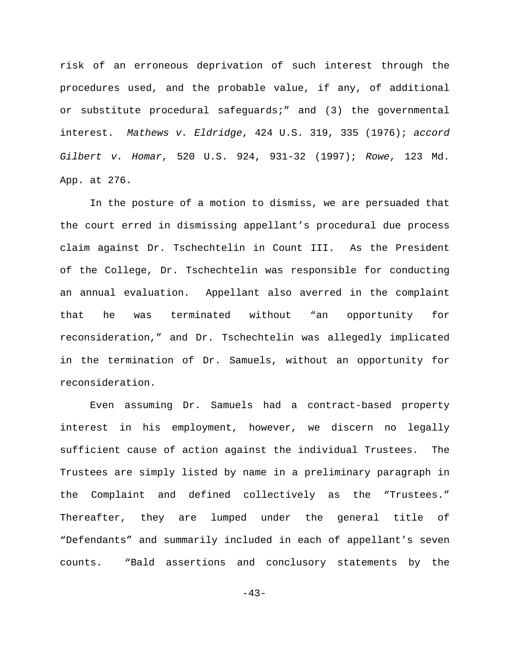risk of an erroneous deprivation of such interest through the procedures used, and the probable value, if any, of additional or substitute procedural safeguards;" and (3) the governmental interest. *Mathews v. Eldridge*, 424 U.S. 319, 335 (1976); *accord Gilbert v. Homar*, 520 U.S. 924, 931-32 (1997); *Rowe*, 123 Md. App. at 276.

In the posture of a motion to dismiss, we are persuaded that the court erred in dismissing appellant's procedural due process claim against Dr. Tschechtelin in Count III. As the President of the College, Dr. Tschechtelin was responsible for conducting an annual evaluation. Appellant also averred in the complaint that he was terminated without "an opportunity for reconsideration," and Dr. Tschechtelin was allegedly implicated in the termination of Dr. Samuels, without an opportunity for reconsideration.

Even assuming Dr. Samuels had a contract-based property interest in his employment, however, we discern no legally sufficient cause of action against the individual Trustees. The Trustees are simply listed by name in a preliminary paragraph in the Complaint and defined collectively as the "Trustees." Thereafter, they are lumped under the general title of "Defendants" and summarily included in each of appellant's seven counts. "Bald assertions and conclusory statements by the

 $-43-$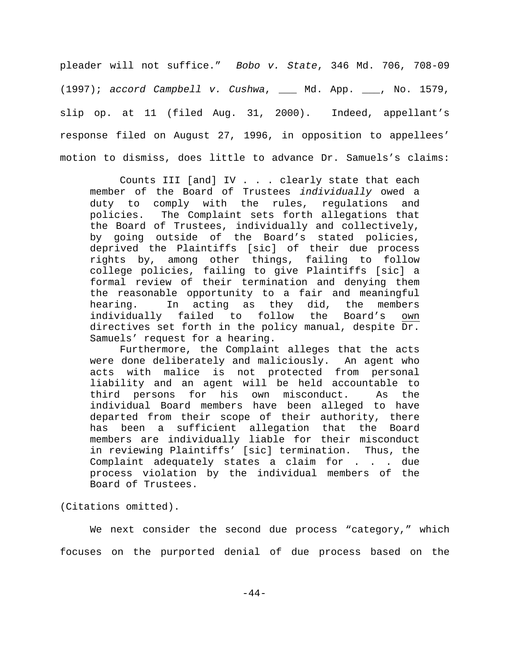pleader will not suffice." *Bobo v. State*, 346 Md. 706, 708-09 (1997); *accord Campbell v. Cushwa*, \_\_\_ Md. App. \_\_\_, No. 1579, slip op. at 11 (filed Aug. 31, 2000). Indeed, appellant's response filed on August 27, 1996, in opposition to appellees' motion to dismiss, does little to advance Dr. Samuels's claims:

Counts III [and] IV . . . clearly state that each member of the Board of Trustees *individually* owed a duty to comply with the rules, regulations and policies. The Complaint sets forth allegations that the Board of Trustees, individually and collectively, by going outside of the Board's stated policies, deprived the Plaintiffs [sic] of their due process rights by, among other things, failing to follow college policies, failing to give Plaintiffs [sic] a formal review of their termination and denying them the reasonable opportunity to a fair and meaningful hearing. In acting as they did, the members individually failed to follow the Board's own directives set forth in the policy manual, despite Dr. Samuels' request for a hearing.

Furthermore, the Complaint alleges that the acts were done deliberately and maliciously. An agent who acts with malice is not protected from personal liability and an agent will be held accountable to third persons for his own misconduct. As the individual Board members have been alleged to have departed from their scope of their authority, there has been a sufficient allegation that the Board members are individually liable for their misconduct in reviewing Plaintiffs' [sic] termination. Thus, the Complaint adequately states a claim for . . . due process violation by the individual members of the Board of Trustees.

(Citations omitted).

We next consider the second due process "category," which focuses on the purported denial of due process based on the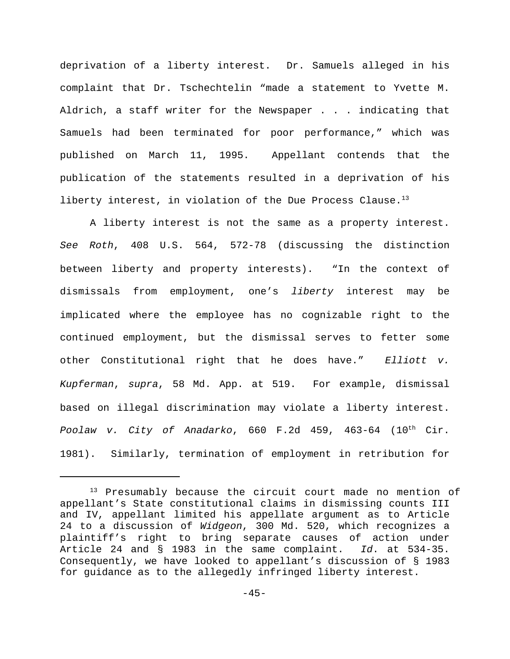deprivation of a liberty interest. Dr. Samuels alleged in his complaint that Dr. Tschechtelin "made a statement to Yvette M. Aldrich, a staff writer for the Newspaper . . . indicating that Samuels had been terminated for poor performance," which was published on March 11, 1995. Appellant contends that the publication of the statements resulted in a deprivation of his liberty interest, in violation of the Due Process Clause.<sup>13</sup>

A liberty interest is not the same as a property interest. *See Roth*, 408 U.S. 564, 572-78 (discussing the distinction between liberty and property interests). "In the context of dismissals from employment, one's *liberty* interest may be implicated where the employee has no cognizable right to the continued employment, but the dismissal serves to fetter some other Constitutional right that he does have." *Elliott v. Kupferman*, *supra*, 58 Md. App. at 519. For example, dismissal based on illegal discrimination may violate a liberty interest. Poolaw v. City of Anadarko, 660 F.2d 459, 463-64 (10<sup>th</sup> Cir. 1981). Similarly, termination of employment in retribution for

<sup>13</sup> Presumably because the circuit court made no mention of appellant's State constitutional claims in dismissing counts III and IV, appellant limited his appellate argument as to Article 24 to a discussion of *Widgeon*, 300 Md. 520, which recognizes a plaintiff's right to bring separate causes of action under Article 24 and § 1983 in the same complaint. *Id*. at 534-35. Consequently, we have looked to appellant's discussion of § 1983 for guidance as to the allegedly infringed liberty interest.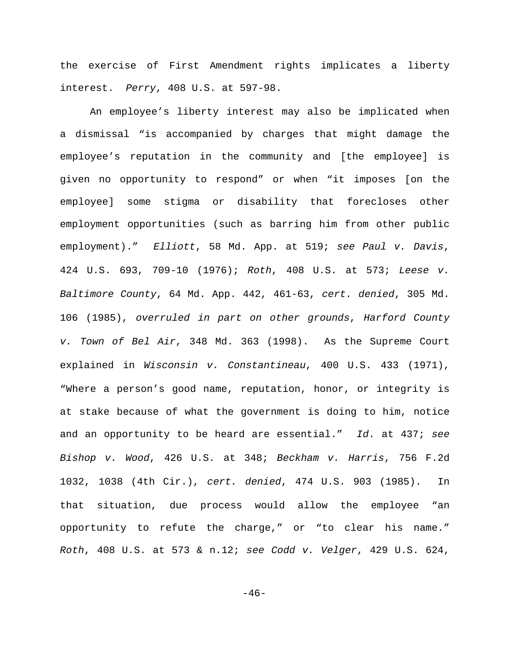the exercise of First Amendment rights implicates a liberty interest. *Perry*, 408 U.S. at 597-98.

An employee's liberty interest may also be implicated when a dismissal "is accompanied by charges that might damage the employee's reputation in the community and [the employee] is given no opportunity to respond" or when "it imposes [on the employee] some stigma or disability that forecloses other employment opportunities (such as barring him from other public employment)." *Elliott*, 58 Md. App. at 519; *see Paul v. Davis*, 424 U.S. 693, 709-10 (1976); *Roth*, 408 U.S. at 573; *Leese v. Baltimore County*, 64 Md. App. 442, 461-63, *cert. denied*, 305 Md. 106 (1985), *overruled in part on other grounds*, *Harford County v. Town of Bel Air*, 348 Md. 363 (1998). As the Supreme Court explained in *Wisconsin v. Constantineau*, 400 U.S. 433 (1971), "Where a person's good name, reputation, honor, or integrity is at stake because of what the government is doing to him, notice and an opportunity to be heard are essential." *Id*. at 437; *see Bishop v. Wood*, 426 U.S. at 348; *Beckham v. Harris*, 756 F.2d 1032, 1038 (4th Cir.), *cert. denied*, 474 U.S. 903 (1985). In that situation, due process would allow the employee "an opportunity to refute the charge," or "to clear his name." *Roth*, 408 U.S. at 573 & n.12; *see Codd v. Velger*, 429 U.S. 624,

 $-46-$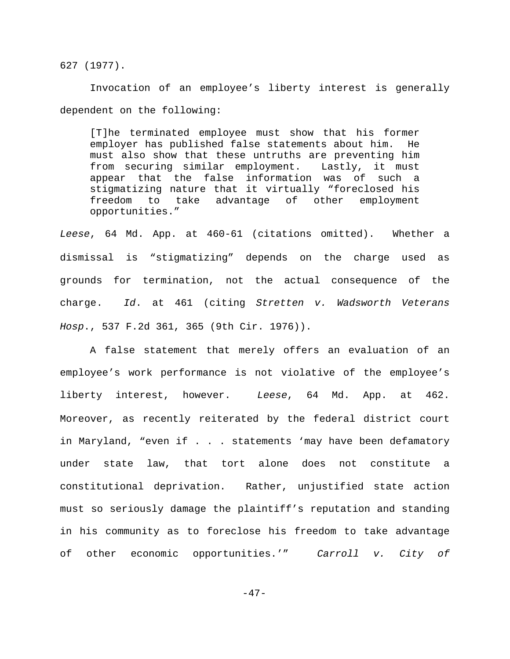627 (1977).

Invocation of an employee's liberty interest is generally dependent on the following:

[T]he terminated employee must show that his former employer has published false statements about him. He must also show that these untruths are preventing him from securing similar employment. Lastly, it must appear that the false information was of such a stigmatizing nature that it virtually "foreclosed his freedom to take advantage of other employment opportunities."

*Leese*, 64 Md. App. at 460-61 (citations omitted). Whether a dismissal is "stigmatizing" depends on the charge used as grounds for termination, not the actual consequence of the charge. *Id*. at 461 (citing *Stretten v. Wadsworth Veterans Hosp*., 537 F.2d 361, 365 (9th Cir. 1976)).

A false statement that merely offers an evaluation of an employee's work performance is not violative of the employee's liberty interest, however. *Leese*, 64 Md. App. at 462. Moreover, as recently reiterated by the federal district court in Maryland, "even if . . . statements 'may have been defamatory under state law, that tort alone does not constitute a constitutional deprivation. Rather, unjustified state action must so seriously damage the plaintiff's reputation and standing in his community as to foreclose his freedom to take advantage of other economic opportunities.'" *Carroll v. City of*

 $-47-$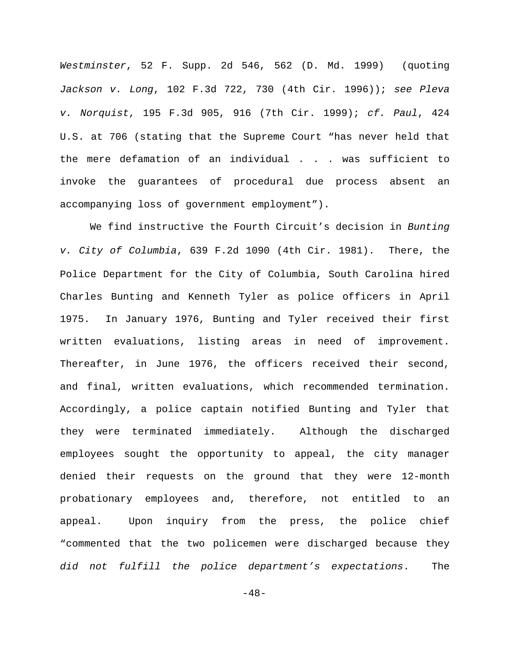*Westminster*, 52 F. Supp. 2d 546, 562 (D. Md. 1999) (quoting *Jackson v. Long*, 102 F.3d 722, 730 (4th Cir. 1996)); *see Pleva v. Norquist*, 195 F.3d 905, 916 (7th Cir. 1999); *cf. Paul*, 424 U.S. at 706 (stating that the Supreme Court "has never held that the mere defamation of an individual . . . was sufficient to invoke the guarantees of procedural due process absent an accompanying loss of government employment").

We find instructive the Fourth Circuit's decision in *Bunting v. City of Columbia*, 639 F.2d 1090 (4th Cir. 1981). There, the Police Department for the City of Columbia, South Carolina hired Charles Bunting and Kenneth Tyler as police officers in April 1975. In January 1976, Bunting and Tyler received their first written evaluations, listing areas in need of improvement. Thereafter, in June 1976, the officers received their second, and final, written evaluations, which recommended termination. Accordingly, a police captain notified Bunting and Tyler that they were terminated immediately. Although the discharged employees sought the opportunity to appeal, the city manager denied their requests on the ground that they were 12-month probationary employees and, therefore, not entitled to an appeal. Upon inquiry from the press, the police chief "commented that the two policemen were discharged because they *did not fulfill the police department's expectations*. The

 $-48-$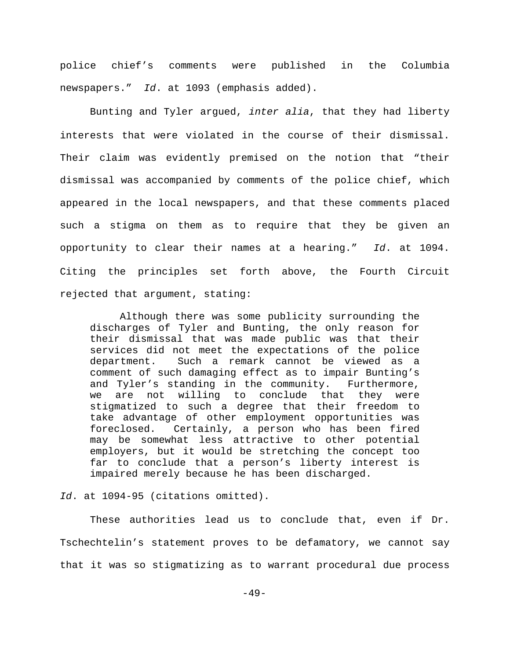police chief's comments were published in the Columbia newspapers." *Id*. at 1093 (emphasis added).

Bunting and Tyler argued, *inter alia*, that they had liberty interests that were violated in the course of their dismissal. Their claim was evidently premised on the notion that "their dismissal was accompanied by comments of the police chief, which appeared in the local newspapers, and that these comments placed such a stigma on them as to require that they be given an opportunity to clear their names at a hearing." *Id*. at 1094. Citing the principles set forth above, the Fourth Circuit rejected that argument, stating:

Although there was some publicity surrounding the discharges of Tyler and Bunting, the only reason for their dismissal that was made public was that their services did not meet the expectations of the police department. Such a remark cannot be viewed as a comment of such damaging effect as to impair Bunting's and Tyler's standing in the community. Furthermore, we are not willing to conclude that they were stigmatized to such a degree that their freedom to take advantage of other employment opportunities was foreclosed. Certainly, a person who has been fired may be somewhat less attractive to other potential employers, but it would be stretching the concept too far to conclude that a person's liberty interest is impaired merely because he has been discharged.

*Id*. at 1094-95 (citations omitted).

These authorities lead us to conclude that, even if Dr. Tschechtelin's statement proves to be defamatory, we cannot say that it was so stigmatizing as to warrant procedural due process

 $-49-$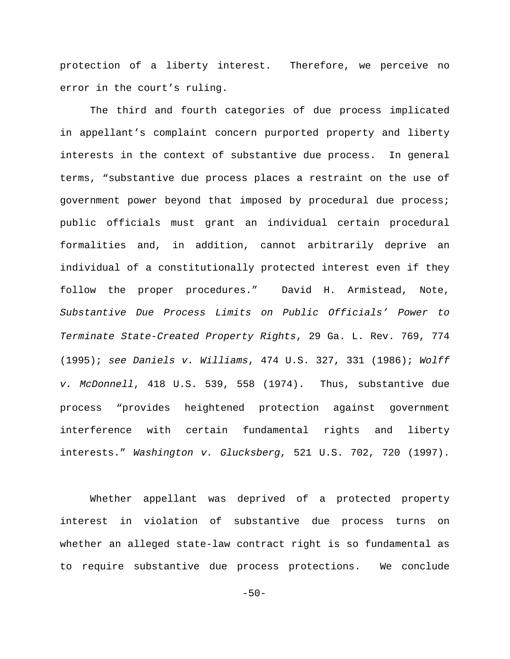protection of a liberty interest. Therefore, we perceive no error in the court's ruling.

The third and fourth categories of due process implicated in appellant's complaint concern purported property and liberty interests in the context of substantive due process. In general terms, "substantive due process places a restraint on the use of government power beyond that imposed by procedural due process; public officials must grant an individual certain procedural formalities and, in addition, cannot arbitrarily deprive an individual of a constitutionally protected interest even if they follow the proper procedures." David H. Armistead, Note, *Substantive Due Process Limits on Public Officials' Power to Terminate State-Created Property Rights*, 29 Ga. L. Rev. 769, 774 (1995); *see Daniels v. Williams*, 474 U.S. 327, 331 (1986); *Wolff v. McDonnell*, 418 U.S. 539, 558 (1974). Thus, substantive due process "provides heightened protection against government interference with certain fundamental rights and liberty interests." *Washington v. Glucksberg*, 521 U.S. 702, 720 (1997).

Whether appellant was deprived of a protected property interest in violation of substantive due process turns on whether an alleged state-law contract right is so fundamental as to require substantive due process protections. We conclude

 $-50-$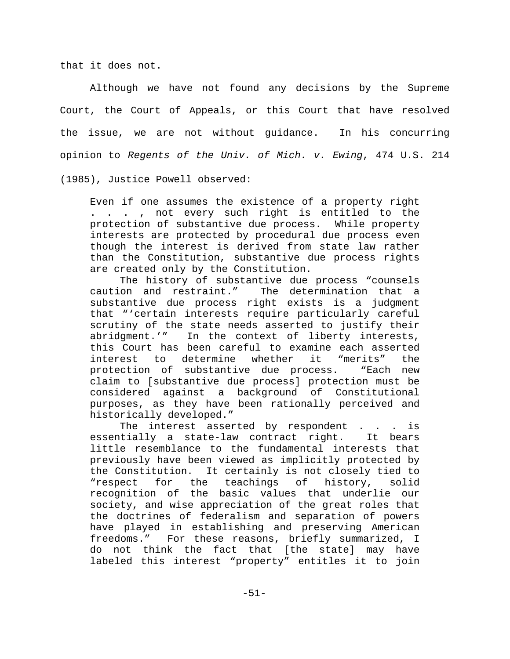that it does not.

Although we have not found any decisions by the Supreme Court, the Court of Appeals, or this Court that have resolved the issue, we are not without guidance. In his concurring opinion to *Regents of the Univ. of Mich. v. Ewing*, 474 U.S. 214 (1985), Justice Powell observed:

Even if one assumes the existence of a property right . . . , not every such right is entitled to the protection of substantive due process. While property interests are protected by procedural due process even though the interest is derived from state law rather than the Constitution, substantive due process rights are created only by the Constitution.

The history of substantive due process "counsels caution and restraint." The determination that a substantive due process right exists is a judgment that "'certain interests require particularly careful scrutiny of the state needs asserted to justify their abridgment.'" In the context of liberty interests, this Court has been careful to examine each asserted interest to determine whether it "merits" the protection of substantive due process. "Each new claim to [substantive due process] protection must be considered against a background of Constitutional purposes, as they have been rationally perceived and historically developed."

The interest asserted by respondent . . . is essentially a state-law contract right. It bears little resemblance to the fundamental interests that previously have been viewed as implicitly protected by the Constitution. It certainly is not closely tied to "respect for the teachings of history, solid recognition of the basic values that underlie our society, and wise appreciation of the great roles that the doctrines of federalism and separation of powers have played in establishing and preserving American freedoms." For these reasons, briefly summarized, I do not think the fact that [the state] may have labeled this interest "property" entitles it to join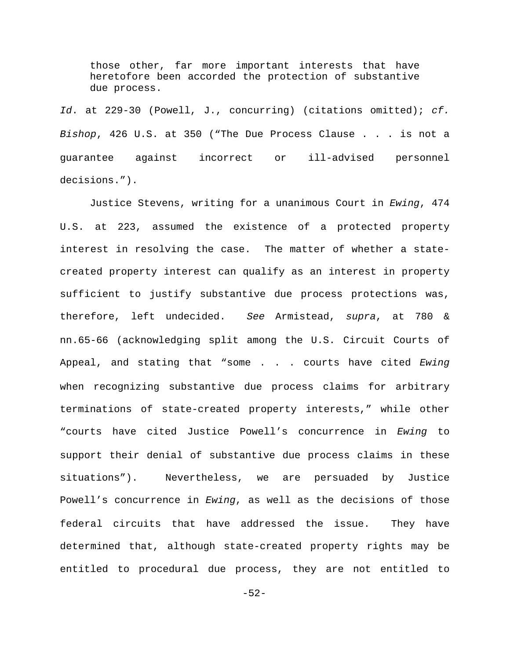those other, far more important interests that have heretofore been accorded the protection of substantive due process.

*Id*. at 229-30 (Powell, J., concurring) (citations omitted); *cf. Bishop*, 426 U.S. at 350 ("The Due Process Clause . . . is not a guarantee against incorrect or ill-advised personnel decisions.").

Justice Stevens, writing for a unanimous Court in *Ewing*, 474 U.S. at 223, assumed the existence of a protected property interest in resolving the case. The matter of whether a statecreated property interest can qualify as an interest in property sufficient to justify substantive due process protections was, therefore, left undecided. *See* Armistead, *supra*, at 780 & nn.65-66 (acknowledging split among the U.S. Circuit Courts of Appeal, and stating that "some . . . courts have cited *Ewing* when recognizing substantive due process claims for arbitrary terminations of state-created property interests," while other "courts have cited Justice Powell's concurrence in *Ewing* to support their denial of substantive due process claims in these situations"). Nevertheless, we are persuaded by Justice Powell's concurrence in *Ewing*, as well as the decisions of those federal circuits that have addressed the issue. They have determined that, although state-created property rights may be entitled to procedural due process, they are not entitled to

-52-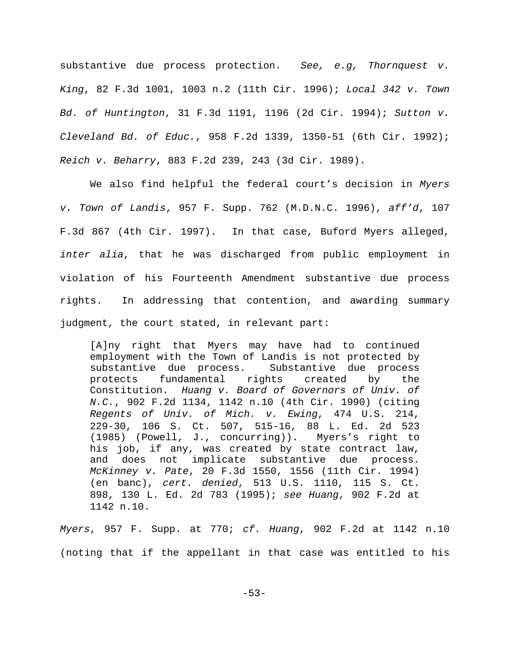substantive due process protection. *See, e.g, Thornquest v. King*, 82 F.3d 1001, 1003 n.2 (11th Cir. 1996); *Local 342 v. Town Bd. of Huntington*, 31 F.3d 1191, 1196 (2d Cir. 1994); *Sutton v. Cleveland Bd. of Educ.*, 958 F.2d 1339, 1350-51 (6th Cir. 1992); *Reich v. Beharry*, 883 F.2d 239, 243 (3d Cir. 1989).

We also find helpful the federal court's decision in *Myers v. Town of Landis*, 957 F. Supp. 762 (M.D.N.C. 1996), *aff'd*, 107 F.3d 867 (4th Cir. 1997). In that case, Buford Myers alleged, *inter alia*, that he was discharged from public employment in violation of his Fourteenth Amendment substantive due process rights. In addressing that contention, and awarding summary judgment, the court stated, in relevant part:

[A]ny right that Myers may have had to continued employment with the Town of Landis is not protected by substantive due process. Substantive due process protects fundamental rights created by the Constitution. *Huang v. Board of Governors of Univ. of N.C.*, 902 F.2d 1134, 1142 n.10 (4th Cir. 1990) (citing *Regents of Univ. of Mich. v. Ewing*, 474 U.S. 214, 229-30, 106 S. Ct. 507, 515-16, 88 L. Ed. 2d 523 (1985) (Powell, J., concurring)). Myers's right to his job, if any, was created by state contract law, and does not implicate substantive due process. *McKinney v. Pate*, 20 F.3d 1550, 1556 (11th Cir. 1994) (en banc), *cert. denied*, 513 U.S. 1110, 115 S. Ct. 898, 130 L. Ed. 2d 783 (1995); *see Huang*, 902 F.2d at 1142 n.10.

*Myers*, 957 F. Supp. at 770; *cf. Huang*, 902 F.2d at 1142 n.10 (noting that if the appellant in that case was entitled to his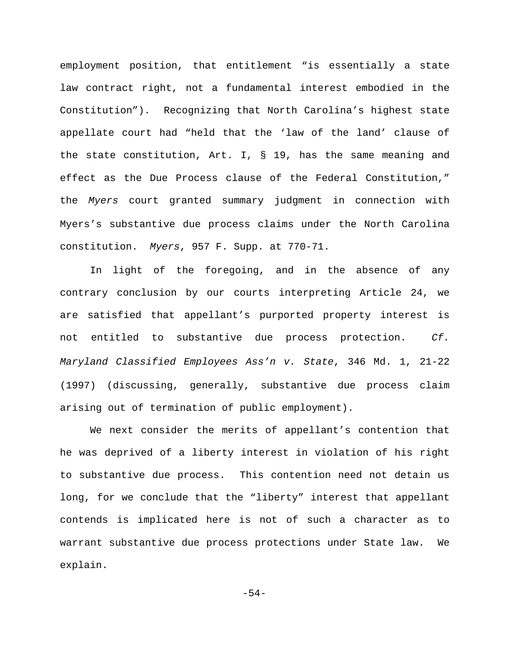employment position, that entitlement "is essentially a state law contract right, not a fundamental interest embodied in the Constitution"). Recognizing that North Carolina's highest state appellate court had "held that the 'law of the land' clause of the state constitution, Art. I, § 19, has the same meaning and effect as the Due Process clause of the Federal Constitution," the *Myers* court granted summary judgment in connection with Myers's substantive due process claims under the North Carolina constitution. *Myers*, 957 F. Supp. at 770-71.

In light of the foregoing, and in the absence of any contrary conclusion by our courts interpreting Article 24, we are satisfied that appellant's purported property interest is not entitled to substantive due process protection. *Cf. Maryland Classified Employees Ass'n v. State*, 346 Md. 1, 21-22 (1997) (discussing, generally, substantive due process claim arising out of termination of public employment).

We next consider the merits of appellant's contention that he was deprived of a liberty interest in violation of his right to substantive due process. This contention need not detain us long, for we conclude that the "liberty" interest that appellant contends is implicated here is not of such a character as to warrant substantive due process protections under State law. We explain.

-54-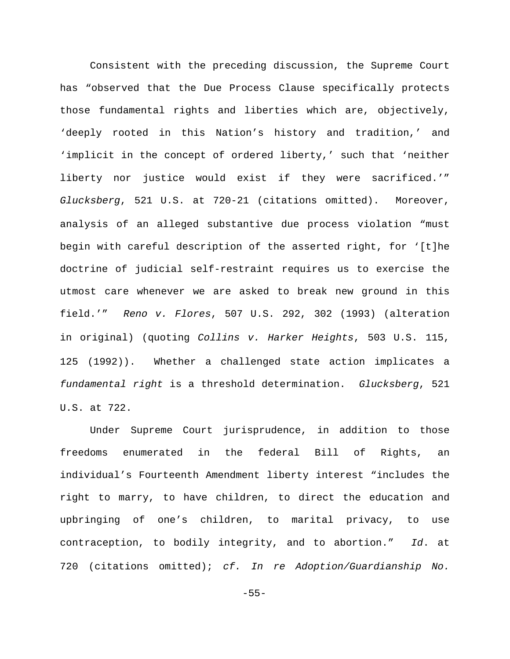Consistent with the preceding discussion, the Supreme Court has "observed that the Due Process Clause specifically protects those fundamental rights and liberties which are, objectively, 'deeply rooted in this Nation's history and tradition,' and 'implicit in the concept of ordered liberty,' such that 'neither liberty nor justice would exist if they were sacrificed.'" *Glucksberg*, 521 U.S. at 720-21 (citations omitted). Moreover, analysis of an alleged substantive due process violation "must begin with careful description of the asserted right, for '[t]he doctrine of judicial self-restraint requires us to exercise the utmost care whenever we are asked to break new ground in this field.'" *Reno v. Flores*, 507 U.S. 292, 302 (1993) (alteration in original) (quoting *Collins v. Harker Heights*, 503 U.S. 115, 125 (1992)). Whether a challenged state action implicates a *fundamental right* is a threshold determination. *Glucksberg*, 521 U.S. at 722.

Under Supreme Court jurisprudence, in addition to those freedoms enumerated in the federal Bill of Rights, an individual's Fourteenth Amendment liberty interest "includes the right to marry, to have children, to direct the education and upbringing of one's children, to marital privacy, to use contraception, to bodily integrity, and to abortion." *Id*. at 720 (citations omitted); *cf. In re Adoption/Guardianship No.*

-55-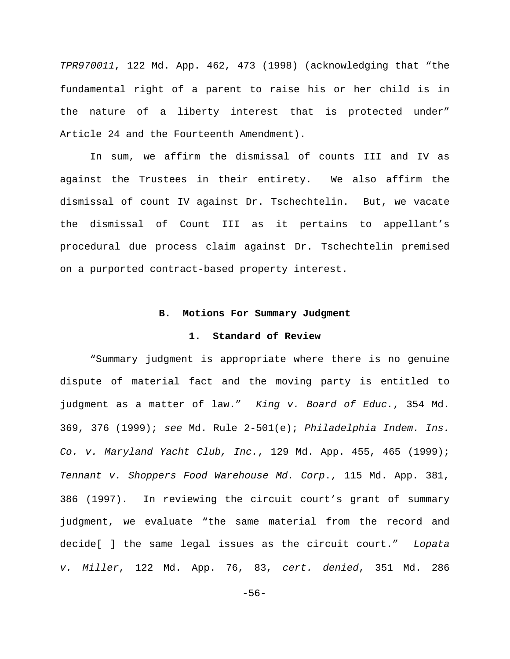*TPR970011*, 122 Md. App. 462, 473 (1998) (acknowledging that "the fundamental right of a parent to raise his or her child is in the nature of a liberty interest that is protected under" Article 24 and the Fourteenth Amendment).

In sum, we affirm the dismissal of counts III and IV as against the Trustees in their entirety. We also affirm the dismissal of count IV against Dr. Tschechtelin. But, we vacate the dismissal of Count III as it pertains to appellant's procedural due process claim against Dr. Tschechtelin premised on a purported contract-based property interest.

### **B. Motions For Summary Judgment**

### **1. Standard of Review**

"Summary judgment is appropriate where there is no genuine dispute of material fact and the moving party is entitled to judgment as a matter of law." *King v. Board of Educ.*, 354 Md. 369, 376 (1999); *see* Md. Rule 2-501(e); *Philadelphia Indem. Ins. Co. v. Maryland Yacht Club, Inc.*, 129 Md. App. 455, 465 (1999); *Tennant v. Shoppers Food Warehouse Md. Corp*., 115 Md. App. 381, 386 (1997). In reviewing the circuit court's grant of summary judgment, we evaluate "the same material from the record and decide[ ] the same legal issues as the circuit court." *Lopata v. Miller*, 122 Md. App. 76, 83, *cert. denied*, 351 Md. 286

-56-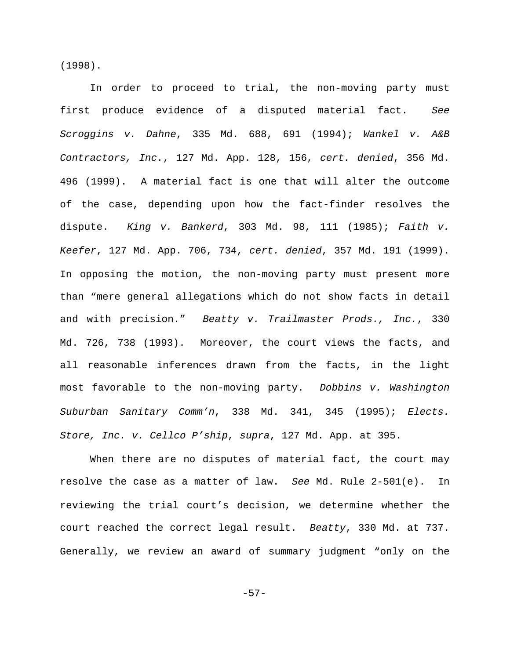(1998).

In order to proceed to trial, the non-moving party must first produce evidence of a disputed material fact. *See Scroggins v. Dahne*, 335 Md. 688, 691 (1994); *Wankel v. A&B Contractors, Inc.*, 127 Md. App. 128, 156, *cert. denied*, 356 Md. 496 (1999). A material fact is one that will alter the outcome of the case, depending upon how the fact-finder resolves the dispute. *King v. Bankerd*, 303 Md. 98, 111 (1985); *Faith v. Keefer*, 127 Md. App. 706, 734, *cert. denied*, 357 Md. 191 (1999). In opposing the motion, the non-moving party must present more than "mere general allegations which do not show facts in detail and with precision." *Beatty v. Trailmaster Prods., Inc.*, 330 Md. 726, 738 (1993). Moreover, the court views the facts, and all reasonable inferences drawn from the facts, in the light most favorable to the non-moving party. *Dobbins v. Washington Suburban Sanitary Comm'n*, 338 Md. 341, 345 (1995); *Elects. Store, Inc. v. Cellco P'ship*, *supra*, 127 Md. App. at 395.

When there are no disputes of material fact, the court may resolve the case as a matter of law. *See* Md. Rule 2-501(e). In reviewing the trial court's decision, we determine whether the court reached the correct legal result. *Beatty*, 330 Md. at 737. Generally, we review an award of summary judgment "only on the

-57-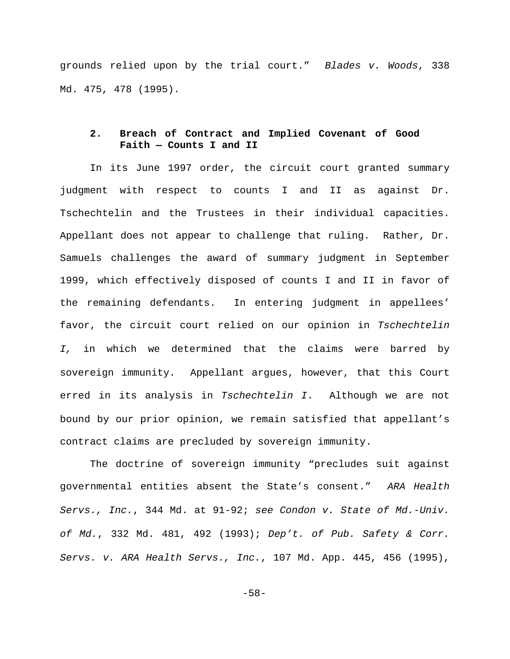grounds relied upon by the trial court." *Blades v. Woods*, 338 Md. 475, 478 (1995).

# **2. Breach of Contract and Implied Covenant of Good Faith — Counts I and II**

In its June 1997 order, the circuit court granted summary judgment with respect to counts I and II as against Dr. Tschechtelin and the Trustees in their individual capacities. Appellant does not appear to challenge that ruling. Rather, Dr. Samuels challenges the award of summary judgment in September 1999, which effectively disposed of counts I and II in favor of the remaining defendants. In entering judgment in appellees' favor, the circuit court relied on our opinion in *Tschechtelin I,* in which we determined that the claims were barred by sovereign immunity. Appellant argues, however, that this Court erred in its analysis in *Tschechtelin I*. Although we are not bound by our prior opinion, we remain satisfied that appellant's contract claims are precluded by sovereign immunity.

The doctrine of sovereign immunity "precludes suit against governmental entities absent the State's consent." *ARA Health Servs., Inc.*, 344 Md. at 91-92; *see Condon v. State of Md.-Univ. of Md.*, 332 Md. 481, 492 (1993); *Dep't. of Pub. Safety & Corr. Servs. v. ARA Health Servs., Inc.*, 107 Md. App. 445, 456 (1995),

-58-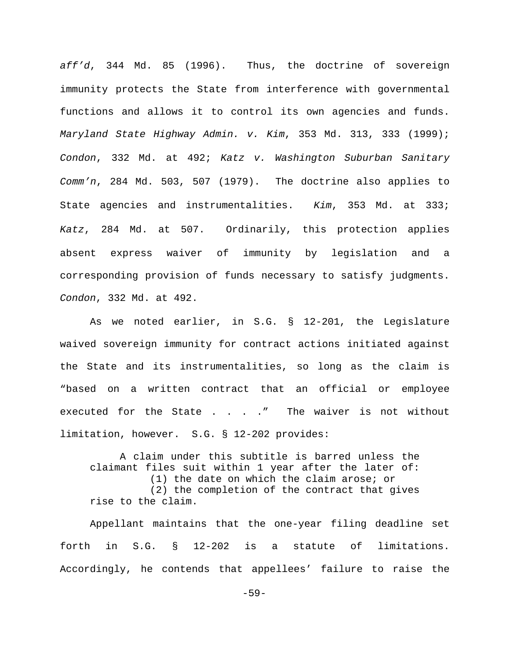*aff'd*, 344 Md. 85 (1996). Thus, the doctrine of sovereign immunity protects the State from interference with governmental functions and allows it to control its own agencies and funds. *Maryland State Highway Admin. v. Kim*, 353 Md. 313, 333 (1999); *Condon*, 332 Md. at 492; *Katz v. Washington Suburban Sanitary Comm'n*, 284 Md. 503, 507 (1979). The doctrine also applies to State agencies and instrumentalities. *Kim*, 353 Md. at 333; *Katz*, 284 Md. at 507. Ordinarily, this protection applies absent express waiver of immunity by legislation and a corresponding provision of funds necessary to satisfy judgments. *Condon*, 332 Md. at 492.

As we noted earlier, in S.G. § 12-201, the Legislature waived sovereign immunity for contract actions initiated against the State and its instrumentalities, so long as the claim is "based on a written contract that an official or employee executed for the State . . . . " The waiver is not without limitation, however. S.G. § 12-202 provides:

A claim under this subtitle is barred unless the claimant files suit within 1 year after the later of: (1) the date on which the claim arose; or (2) the completion of the contract that gives rise to the claim.

Appellant maintains that the one-year filing deadline set forth in S.G. § 12-202 is a statute of limitations. Accordingly, he contends that appellees' failure to raise the

-59-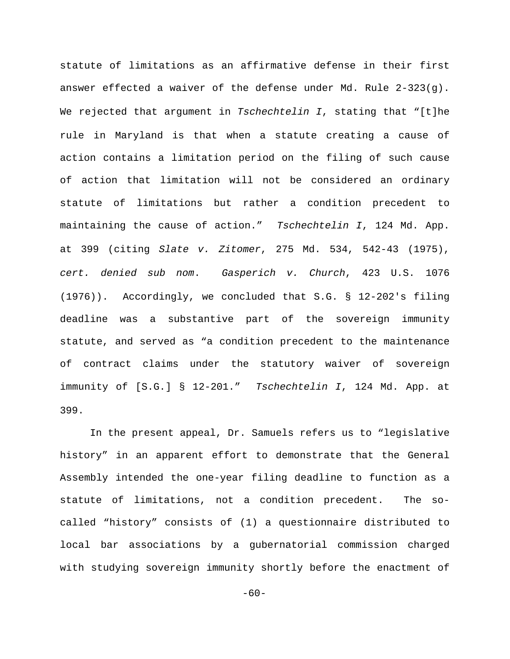statute of limitations as an affirmative defense in their first answer effected a waiver of the defense under Md. Rule 2-323(g). We rejected that argument in *Tschechtelin I*, stating that "[t]he rule in Maryland is that when a statute creating a cause of action contains a limitation period on the filing of such cause of action that limitation will not be considered an ordinary statute of limitations but rather a condition precedent to maintaining the cause of action." *Tschechtelin I*, 124 Md. App. at 399 (citing *Slate v. Zitomer*, 275 Md. 534, 542-43 (1975), *cert. denied sub nom*. *Gasperich v. Church*, 423 U.S. 1076 (1976)). Accordingly, we concluded that S.G. § 12-202's filing deadline was a substantive part of the sovereign immunity statute, and served as "a condition precedent to the maintenance of contract claims under the statutory waiver of sovereign immunity of [S.G.] § 12-201." *Tschechtelin I*, 124 Md. App. at 399.

In the present appeal, Dr. Samuels refers us to "legislative history" in an apparent effort to demonstrate that the General Assembly intended the one-year filing deadline to function as a statute of limitations, not a condition precedent. The socalled "history" consists of (1) a questionnaire distributed to local bar associations by a gubernatorial commission charged with studying sovereign immunity shortly before the enactment of

 $-60-$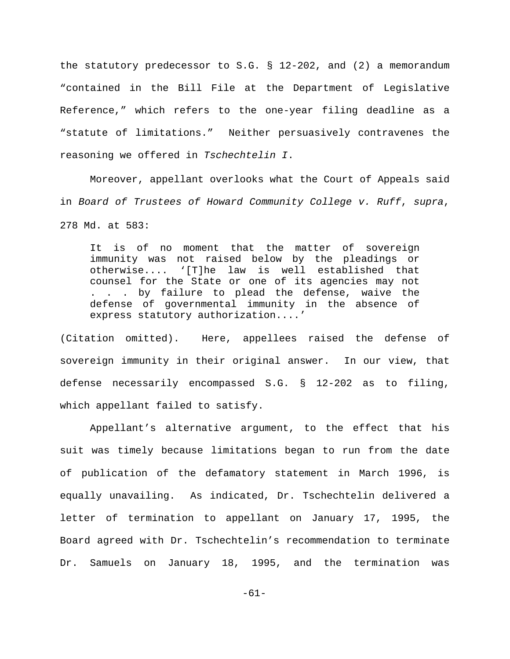the statutory predecessor to S.G.  $\S$  12-202, and (2) a memorandum "contained in the Bill File at the Department of Legislative Reference," which refers to the one-year filing deadline as a "statute of limitations." Neither persuasively contravenes the reasoning we offered in *Tschechtelin I*.

Moreover, appellant overlooks what the Court of Appeals said in *Board of Trustees of Howard Community College v. Ruff*, *supra*, 278 Md. at 583:

It is of no moment that the matter of sovereign immunity was not raised below by the pleadings or otherwise.... '[T]he law is well established that counsel for the State or one of its agencies may not . . . by failure to plead the defense, waive the defense of governmental immunity in the absence of express statutory authorization....'

(Citation omitted). Here, appellees raised the defense of sovereign immunity in their original answer. In our view, that defense necessarily encompassed S.G. § 12-202 as to filing, which appellant failed to satisfy.

Appellant's alternative argument, to the effect that his suit was timely because limitations began to run from the date of publication of the defamatory statement in March 1996, is equally unavailing. As indicated, Dr. Tschechtelin delivered a letter of termination to appellant on January 17, 1995, the Board agreed with Dr. Tschechtelin's recommendation to terminate Dr. Samuels on January 18, 1995, and the termination was

-61-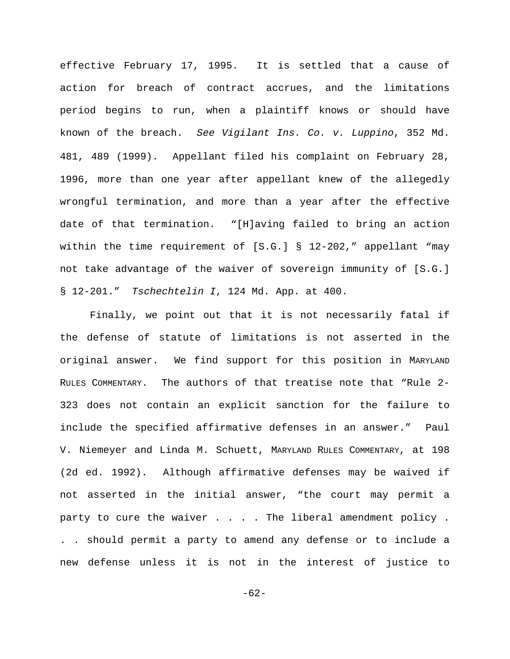effective February 17, 1995. It is settled that a cause of action for breach of contract accrues, and the limitations period begins to run, when a plaintiff knows or should have known of the breach. *See Vigilant Ins. Co. v. Luppino*, 352 Md. 481, 489 (1999). Appellant filed his complaint on February 28, 1996, more than one year after appellant knew of the allegedly wrongful termination, and more than a year after the effective date of that termination. "[H]aving failed to bring an action within the time requirement of [S.G.] § 12-202," appellant "may not take advantage of the waiver of sovereign immunity of [S.G.] § 12-201." *Tschechtelin I*, 124 Md. App. at 400.

Finally, we point out that it is not necessarily fatal if the defense of statute of limitations is not asserted in the original answer. We find support for this position in MARYLAND RULES COMMENTARY. The authors of that treatise note that "Rule 2- 323 does not contain an explicit sanction for the failure to include the specified affirmative defenses in an answer." Paul V. Niemeyer and Linda M. Schuett, MARYLAND RULES COMMENTARY, at 198 (2d ed. 1992). Although affirmative defenses may be waived if not asserted in the initial answer, "the court may permit a party to cure the waiver . . . . The liberal amendment policy . . . should permit a party to amend any defense or to include a new defense unless it is not in the interest of justice to

-62-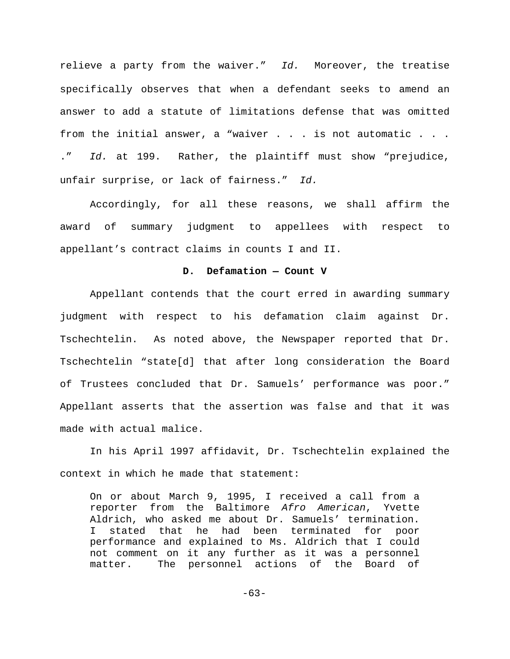relieve a party from the waiver." *Id.* Moreover, the treatise specifically observes that when a defendant seeks to amend an answer to add a statute of limitations defense that was omitted from the initial answer, a "waiver . . . is not automatic . . . ." *Id.* at 199. Rather, the plaintiff must show "prejudice, unfair surprise, or lack of fairness." *Id.*

Accordingly, for all these reasons, we shall affirm the award of summary judgment to appellees with respect to appellant's contract claims in counts I and II.

## **D. Defamation — Count V**

Appellant contends that the court erred in awarding summary judgment with respect to his defamation claim against Dr. Tschechtelin. As noted above, the Newspaper reported that Dr. Tschechtelin "state[d] that after long consideration the Board of Trustees concluded that Dr. Samuels' performance was poor." Appellant asserts that the assertion was false and that it was made with actual malice.

In his April 1997 affidavit, Dr. Tschechtelin explained the context in which he made that statement:

On or about March 9, 1995, I received a call from a reporter from the Baltimore *Afro American*, Yvette Aldrich, who asked me about Dr. Samuels' termination. I stated that he had been terminated for poor performance and explained to Ms. Aldrich that I could not comment on it any further as it was a personnel matter. The personnel actions of the Board of

 $-63-$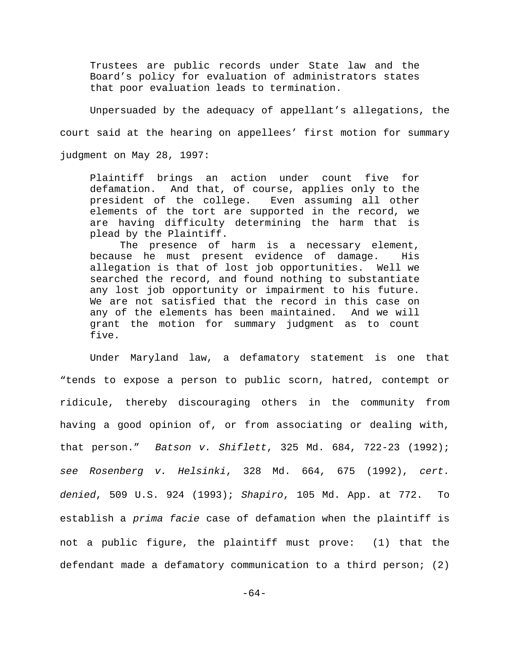Trustees are public records under State law and the Board's policy for evaluation of administrators states that poor evaluation leads to termination.

Unpersuaded by the adequacy of appellant's allegations, the court said at the hearing on appellees' first motion for summary judgment on May 28, 1997:

Plaintiff brings an action under count five for defamation. And that, of course, applies only to the president of the college. Even assuming all other elements of the tort are supported in the record, we are having difficulty determining the harm that is plead by the Plaintiff.

The presence of harm is a necessary element, because he must present evidence of damage. His allegation is that of lost job opportunities. Well we searched the record, and found nothing to substantiate any lost job opportunity or impairment to his future. We are not satisfied that the record in this case on any of the elements has been maintained. And we will grant the motion for summary judgment as to count five.

Under Maryland law, a defamatory statement is one that "tends to expose a person to public scorn, hatred, contempt or ridicule, thereby discouraging others in the community from having a good opinion of, or from associating or dealing with, that person." *Batson v. Shiflett*, 325 Md. 684, 722-23 (1992); *see Rosenberg v. Helsinki*, 328 Md. 664, 675 (1992), *cert. denied*, 509 U.S. 924 (1993); *Shapiro*, 105 Md. App. at 772. To establish a *prima facie* case of defamation when the plaintiff is not a public figure, the plaintiff must prove: (1) that the defendant made a defamatory communication to a third person; (2)

-64-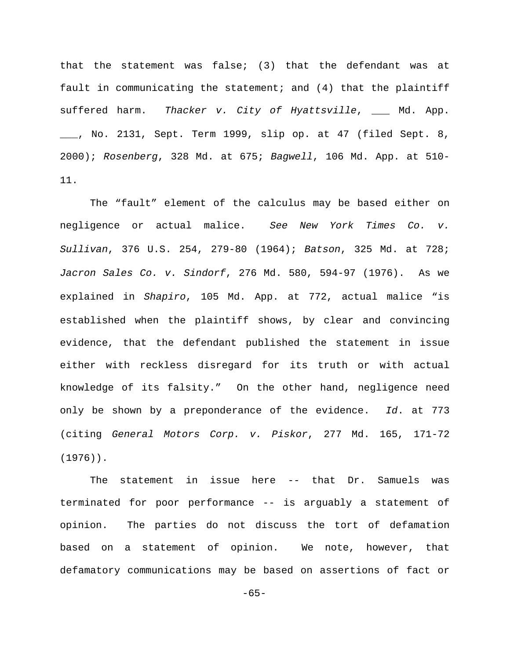that the statement was false; (3) that the defendant was at fault in communicating the statement; and (4) that the plaintiff suffered harm. *Thacker v. City of Hyattsville*, \_\_\_ Md. App. \_\_\_, No. 2131, Sept. Term 1999, slip op. at 47 (filed Sept. 8, 2000); *Rosenberg*, 328 Md. at 675; *Bagwell*, 106 Md. App. at 510- 11.

The "fault" element of the calculus may be based either on negligence or actual malice. *See New York Times Co. v. Sullivan*, 376 U.S. 254, 279-80 (1964); *Batson*, 325 Md. at 728; *Jacron Sales Co. v. Sindorf*, 276 Md. 580, 594-97 (1976). As we explained in *Shapiro*, 105 Md. App. at 772, actual malice "is established when the plaintiff shows, by clear and convincing evidence, that the defendant published the statement in issue either with reckless disregard for its truth or with actual knowledge of its falsity." On the other hand, negligence need only be shown by a preponderance of the evidence. *Id*. at 773 (citing *General Motors Corp. v. Piskor*, 277 Md. 165, 171-72 (1976)).

The statement in issue here -- that Dr. Samuels was terminated for poor performance -- is arguably a statement of opinion. The parties do not discuss the tort of defamation based on a statement of opinion. We note, however, that defamatory communications may be based on assertions of fact or

 $-65-$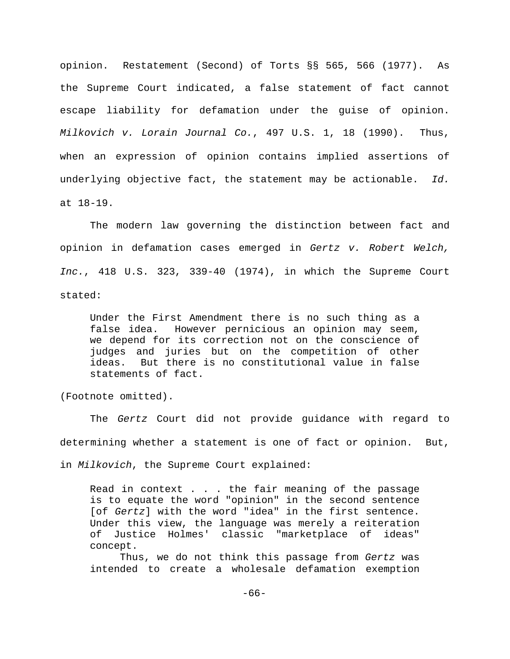opinion. Restatement (Second) of Torts §§ 565, 566 (1977). As the Supreme Court indicated, a false statement of fact cannot escape liability for defamation under the guise of opinion. *Milkovich v. Lorain Journal Co.*, 497 U.S. 1, 18 (1990). Thus, when an expression of opinion contains implied assertions of underlying objective fact, the statement may be actionable. *Id.* at 18-19.

The modern law governing the distinction between fact and opinion in defamation cases emerged in *Gertz v. Robert Welch, Inc.*, 418 U.S. 323, 339-40 (1974), in which the Supreme Court stated:

Under the First Amendment there is no such thing as a false idea. However pernicious an opinion may seem, we depend for its correction not on the conscience of judges and juries but on the competition of other ideas. But there is no constitutional value in false statements of fact.

(Footnote omitted).

The *Gertz* Court did not provide guidance with regard to determining whether a statement is one of fact or opinion. But, in *Milkovich*, the Supreme Court explained:

Read in context . . . the fair meaning of the passage is to equate the word "opinion" in the second sentence [of *Gertz*] with the word "idea" in the first sentence. Under this view, the language was merely a reiteration of Justice Holmes' classic "marketplace of ideas" concept.

Thus, we do not think this passage from *Gertz* was intended to create a wholesale defamation exemption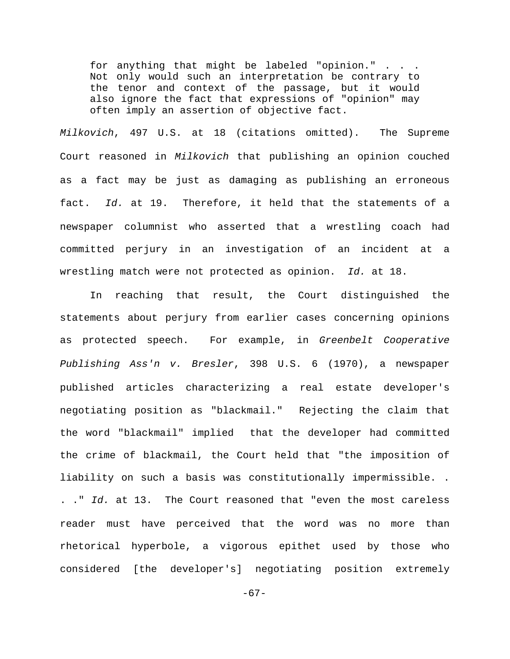for anything that might be labeled "opinion." . . . Not only would such an interpretation be contrary to the tenor and context of the passage, but it would also ignore the fact that expressions of "opinion" may often imply an assertion of objective fact.

*Milkovich*, 497 U.S. at 18 (citations omitted). The Supreme Court reasoned in *Milkovich* that publishing an opinion couched as a fact may be just as damaging as publishing an erroneous fact. *Id.* at 19. Therefore, it held that the statements of a newspaper columnist who asserted that a wrestling coach had committed perjury in an investigation of an incident at a wrestling match were not protected as opinion. *Id.* at 18.

In reaching that result, the Court distinguished the statements about perjury from earlier cases concerning opinions as protected speech. For example, in *Greenbelt Cooperative Publishing Ass'n v. Bresler*, 398 U.S. 6 (1970), a newspaper published articles characterizing a real estate developer's negotiating position as "blackmail." Rejecting the claim that the word "blackmail" implied that the developer had committed the crime of blackmail, the Court held that "the imposition of liability on such a basis was constitutionally impermissible. . . ." *Id.* at 13. The Court reasoned that "even the most careless reader must have perceived that the word was no more than rhetorical hyperbole, a vigorous epithet used by those who considered [the developer's] negotiating position extremely

 $-67-$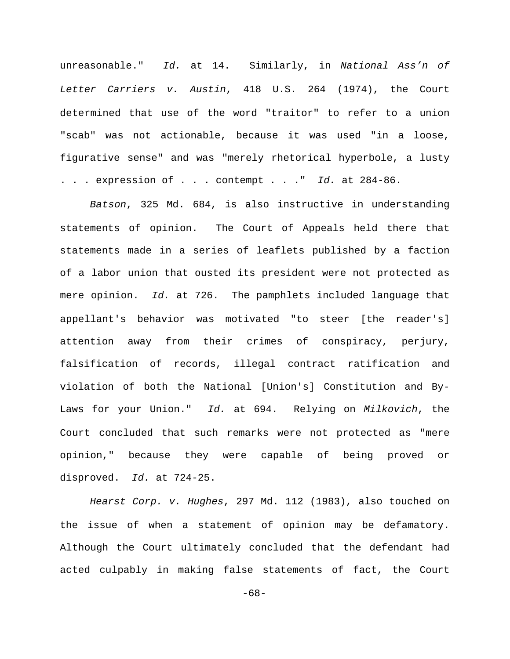unreasonable." *Id.* at 14. Similarly, in *National Ass'n of Letter Carriers v. Austin*, 418 U.S. 264 (1974), the Court determined that use of the word "traitor" to refer to a union "scab" was not actionable, because it was used "in a loose, figurative sense" and was "merely rhetorical hyperbole, a lusty . . . expression of . . . contempt . . ." *Id.* at 284-86.

*Batson*, 325 Md. 684, is also instructive in understanding statements of opinion. The Court of Appeals held there that statements made in a series of leaflets published by a faction of a labor union that ousted its president were not protected as mere opinion. *Id.* at 726. The pamphlets included language that appellant's behavior was motivated "to steer [the reader's] attention away from their crimes of conspiracy, perjury, falsification of records, illegal contract ratification and violation of both the National [Union's] Constitution and By-Laws for your Union." *Id.* at 694. Relying on *Milkovich*, the Court concluded that such remarks were not protected as "mere opinion," because they were capable of being proved or disproved. *Id.* at 724-25.

*Hearst Corp. v. Hughes*, 297 Md. 112 (1983), also touched on the issue of when a statement of opinion may be defamatory. Although the Court ultimately concluded that the defendant had acted culpably in making false statements of fact, the Court

-68-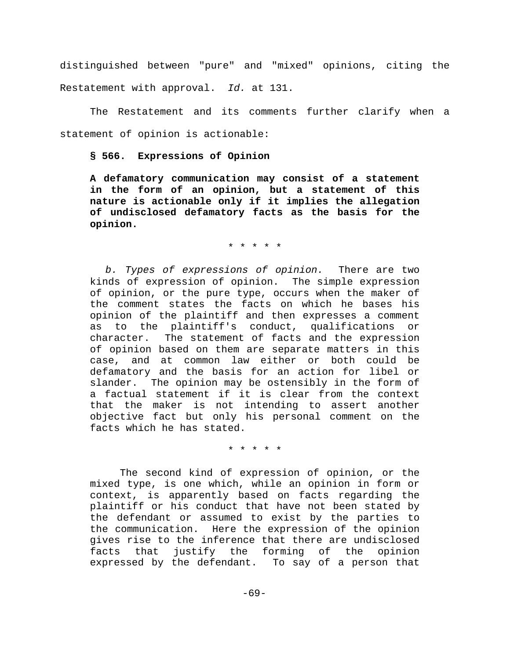distinguished between "pure" and "mixed" opinions, citing the Restatement with approval. *Id.* at 131.

The Restatement and its comments further clarify when a statement of opinion is actionable:

**§ 566. Expressions of Opinion**

**A defamatory communication may consist of a statement in the form of an opinion, but a statement of this nature is actionable only if it implies the allegation of undisclosed defamatory facts as the basis for the opinion.**

\* \* \* \* \*

 *b. Types of expressions of opinion.* There are two kinds of expression of opinion. The simple expression of opinion, or the pure type, occurs when the maker of the comment states the facts on which he bases his opinion of the plaintiff and then expresses a comment as to the plaintiff's conduct, qualifications or character. The statement of facts and the expression of opinion based on them are separate matters in this case, and at common law either or both could be defamatory and the basis for an action for libel or slander. The opinion may be ostensibly in the form of a factual statement if it is clear from the context that the maker is not intending to assert another objective fact but only his personal comment on the facts which he has stated.

\* \* \* \* \*

The second kind of expression of opinion, or the mixed type, is one which, while an opinion in form or context, is apparently based on facts regarding the plaintiff or his conduct that have not been stated by the defendant or assumed to exist by the parties to the communication. Here the expression of the opinion gives rise to the inference that there are undisclosed facts that justify the forming of the opinion expressed by the defendant. To say of a person that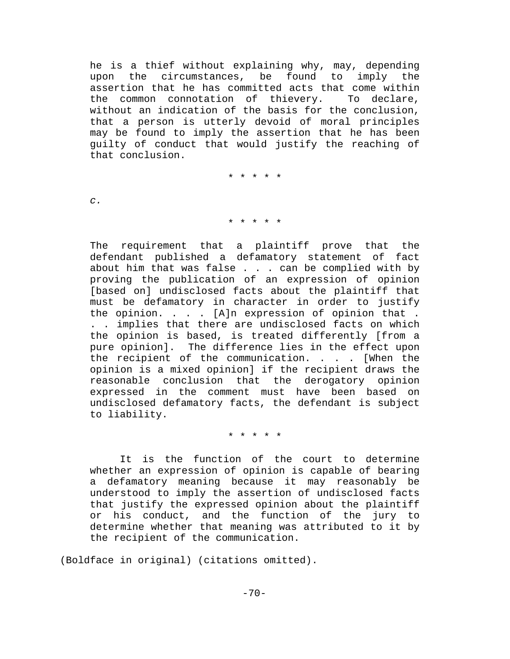he is a thief without explaining why, may, depending upon the circumstances, be found to imply the assertion that he has committed acts that come within the common connotation of thievery. To declare, without an indication of the basis for the conclusion, that a person is utterly devoid of moral principles may be found to imply the assertion that he has been guilty of conduct that would justify the reaching of that conclusion.

\* \* \* \* \*

*c.*

#### \* \* \* \* \*

The requirement that a plaintiff prove that the defendant published a defamatory statement of fact about him that was false . . . can be complied with by proving the publication of an expression of opinion [based on] undisclosed facts about the plaintiff that must be defamatory in character in order to justify the opinion.  $\ldots$  . [A]n expression of opinion that . . . implies that there are undisclosed facts on which the opinion is based, is treated differently [from a pure opinion]. The difference lies in the effect upon the recipient of the communication. . . . [When the opinion is a mixed opinion] if the recipient draws the reasonable conclusion that the derogatory opinion expressed in the comment must have been based on undisclosed defamatory facts, the defendant is subject to liability.

\* \* \* \* \*

It is the function of the court to determine whether an expression of opinion is capable of bearing a defamatory meaning because it may reasonably be understood to imply the assertion of undisclosed facts that justify the expressed opinion about the plaintiff or his conduct, and the function of the jury to determine whether that meaning was attributed to it by the recipient of the communication.

(Boldface in original) (citations omitted).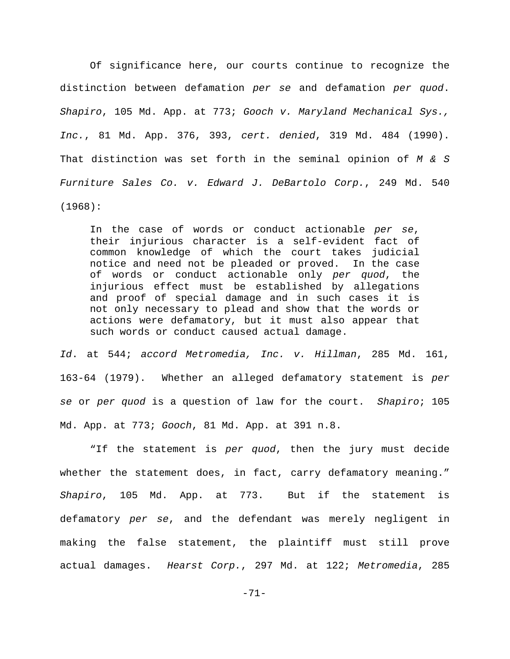Of significance here, our courts continue to recognize the distinction between defamation *per se* and defamation *per quod*. *Shapiro*, 105 Md. App. at 773; *Gooch v. Maryland Mechanical Sys., Inc.*, 81 Md. App. 376, 393, *cert. denied*, 319 Md. 484 (1990). That distinction was set forth in the seminal opinion of *M & S Furniture Sales Co. v. Edward J. DeBartolo Corp.*, 249 Md. 540 (1968):

In the case of words or conduct actionable *per se*, their injurious character is a self-evident fact of common knowledge of which the court takes judicial notice and need not be pleaded or proved. In the case of words or conduct actionable only *per quod*, the injurious effect must be established by allegations and proof of special damage and in such cases it is not only necessary to plead and show that the words or actions were defamatory, but it must also appear that such words or conduct caused actual damage.

*Id*. at 544; *accord Metromedia, Inc. v. Hillman*, 285 Md. 161, 163-64 (1979). Whether an alleged defamatory statement is *per se* or *per quod* is a question of law for the court. *Shapiro*; 105 Md. App. at 773; *Gooch*, 81 Md. App. at 391 n.8.

"If the statement is *per quod*, then the jury must decide whether the statement does, in fact, carry defamatory meaning." *Shapiro*, 105 Md. App. at 773. But if the statement is defamatory *per se*, and the defendant was merely negligent in making the false statement, the plaintiff must still prove actual damages. *Hearst Corp.*, 297 Md. at 122; *Metromedia*, 285

-71-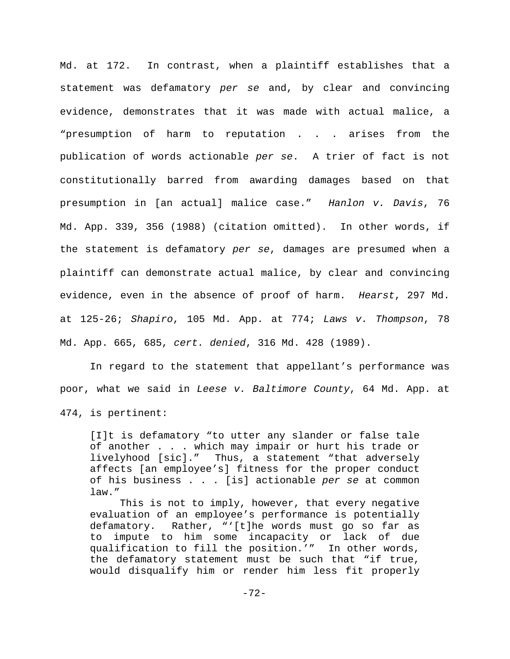Md. at 172. In contrast, when a plaintiff establishes that a statement was defamatory *per se* and, by clear and convincing evidence, demonstrates that it was made with actual malice, a "presumption of harm to reputation . . . arises from the publication of words actionable *per se*. A trier of fact is not constitutionally barred from awarding damages based on that presumption in [an actual] malice case." *Hanlon v. Davis*, 76 Md. App. 339, 356 (1988) (citation omitted). In other words, if the statement is defamatory *per se*, damages are presumed when a plaintiff can demonstrate actual malice, by clear and convincing evidence, even in the absence of proof of harm. *Hearst*, 297 Md. at 125-26; *Shapiro*, 105 Md. App. at 774; *Laws v. Thompson*, 78 Md. App. 665, 685, *cert. denied*, 316 Md. 428 (1989).

In regard to the statement that appellant's performance was poor, what we said in *Leese v. Baltimore County*, 64 Md. App. at 474, is pertinent:

[I]t is defamatory "to utter any slander or false tale of another . . . which may impair or hurt his trade or livelyhood [sic]." Thus, a statement "that adversely affects [an employee's] fitness for the proper conduct of his business . . . [is] actionable *per se* at common law."

This is not to imply, however, that every negative evaluation of an employee's performance is potentially defamatory. Rather, "'[t]he words must go so far as to impute to him some incapacity or lack of due qualification to fill the position.'" In other words, the defamatory statement must be such that "if true, would disqualify him or render him less fit properly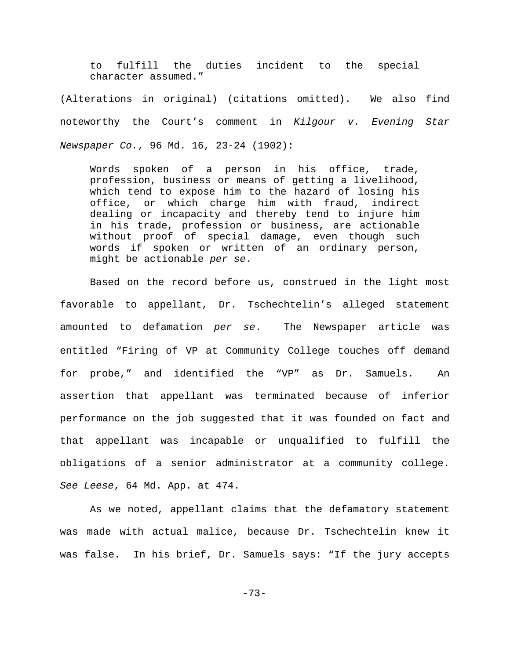to fulfill the duties incident to the special character assumed."

(Alterations in original) (citations omitted). We also find noteworthy the Court's comment in *Kilgour v. Evening Star Newspaper Co.*, 96 Md. 16, 23-24 (1902):

Words spoken of a person in his office, trade, profession, business or means of getting a livelihood, which tend to expose him to the hazard of losing his office, or which charge him with fraud, indirect dealing or incapacity and thereby tend to injure him in his trade, profession or business, are actionable without proof of special damage, even though such words if spoken or written of an ordinary person, might be actionable *per se*.

Based on the record before us, construed in the light most favorable to appellant, Dr. Tschechtelin's alleged statement amounted to defamation *per se*. The Newspaper article was entitled "Firing of VP at Community College touches off demand for probe," and identified the "VP" as Dr. Samuels. An assertion that appellant was terminated because of inferior performance on the job suggested that it was founded on fact and that appellant was incapable or unqualified to fulfill the obligations of a senior administrator at a community college. *See Leese*, 64 Md. App. at 474.

As we noted, appellant claims that the defamatory statement was made with actual malice, because Dr. Tschechtelin knew it was false. In his brief, Dr. Samuels says: "If the jury accepts

-73-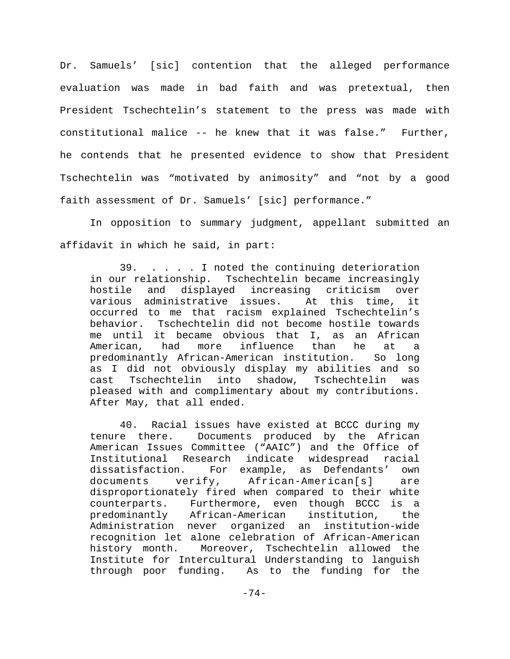Dr. Samuels' [sic] contention that the alleged performance evaluation was made in bad faith and was pretextual, then President Tschechtelin's statement to the press was made with constitutional malice -- he knew that it was false." Further, he contends that he presented evidence to show that President Tschechtelin was "motivated by animosity" and "not by a good faith assessment of Dr. Samuels' [sic] performance."

In opposition to summary judgment, appellant submitted an affidavit in which he said, in part:

39. . . . . I noted the continuing deterioration in our relationship. Tschechtelin became increasingly hostile and displayed increasing criticism over various administrative issues. At this time, it occurred to me that racism explained Tschechtelin's behavior. Tschechtelin did not become hostile towards me until it became obvious that I, as an African American, had more influence than he at a predominantly African-American institution. So long as I did not obviously display my abilities and so cast Tschechtelin into shadow, Tschechtelin was pleased with and complimentary about my contributions. After May, that all ended.

40. Racial issues have existed at BCCC during my tenure there. Documents produced by the African American Issues Committee ("AAIC") and the Office of Institutional Research indicate widespread racial dissatisfaction. For example, as Defendants' own documents verify, African-American[s] are disproportionately fired when compared to their white counterparts. Furthermore, even though BCCC is a predominantly African-American institution, the Administration never organized an institution-wide recognition let alone celebration of African-American history month. Moreover, Tschechtelin allowed the Institute for Intercultural Understanding to languish through poor funding. As to the funding for the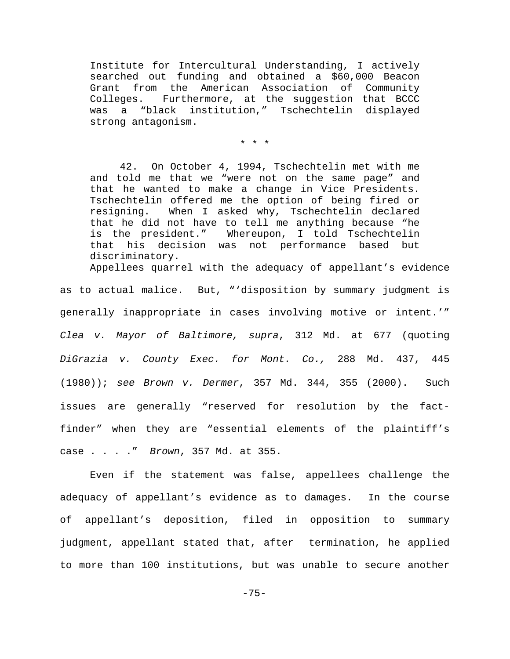Institute for Intercultural Understanding, I actively searched out funding and obtained a \$60,000 Beacon Grant from the American Association of Community Colleges. Furthermore, at the suggestion that BCCC was a "black institution," Tschechtelin displayed strong antagonism.

\* \* \*

42. On October 4, 1994, Tschechtelin met with me and told me that we "were not on the same page" and that he wanted to make a change in Vice Presidents. Tschechtelin offered me the option of being fired or resigning. When I asked why, Tschechtelin declared that he did not have to tell me anything because "he is the president." Whereupon, I told Tschechtelin that his decision was not performance based but discriminatory. Appellees quarrel with the adequacy of appellant's evidence

as to actual malice. But, "'disposition by summary judgment is generally inappropriate in cases involving motive or intent.'" *Clea v. Mayor of Baltimore, supra*, 312 Md. at 677 (quoting *DiGrazia v. County Exec. for Mont. Co.,* 288 Md. 437, 445 (1980)); *see Brown v. Dermer*, 357 Md. 344, 355 (2000). Such issues are generally "reserved for resolution by the factfinder" when they are "essential elements of the plaintiff's case . . . ." *Brown*, 357 Md. at 355.

Even if the statement was false, appellees challenge the adequacy of appellant's evidence as to damages. In the course of appellant's deposition, filed in opposition to summary judgment, appellant stated that, after termination, he applied to more than 100 institutions, but was unable to secure another

-75-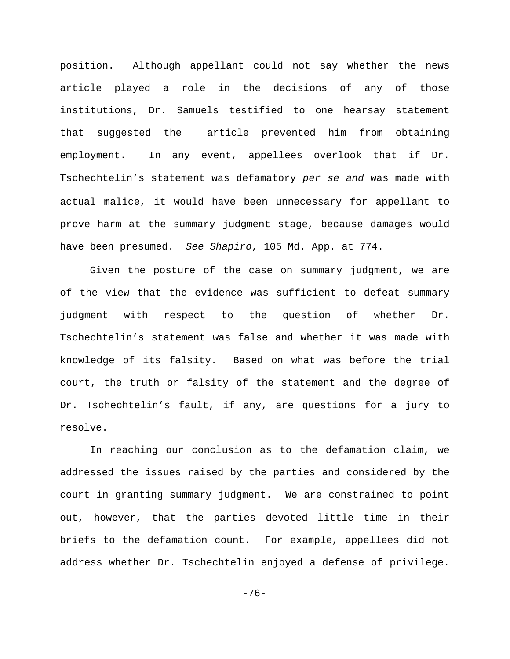position. Although appellant could not say whether the news article played a role in the decisions of any of those institutions, Dr. Samuels testified to one hearsay statement that suggested the article prevented him from obtaining employment. In any event, appellees overlook that if Dr. Tschechtelin's statement was defamatory *per se and* was made with actual malice, it would have been unnecessary for appellant to prove harm at the summary judgment stage, because damages would have been presumed. *See Shapiro*, 105 Md. App. at 774.

Given the posture of the case on summary judgment, we are of the view that the evidence was sufficient to defeat summary judgment with respect to the question of whether Dr. Tschechtelin's statement was false and whether it was made with knowledge of its falsity. Based on what was before the trial court, the truth or falsity of the statement and the degree of Dr. Tschechtelin's fault, if any, are questions for a jury to resolve.

In reaching our conclusion as to the defamation claim, we addressed the issues raised by the parties and considered by the court in granting summary judgment. We are constrained to point out, however, that the parties devoted little time in their briefs to the defamation count. For example, appellees did not address whether Dr. Tschechtelin enjoyed a defense of privilege.

-76-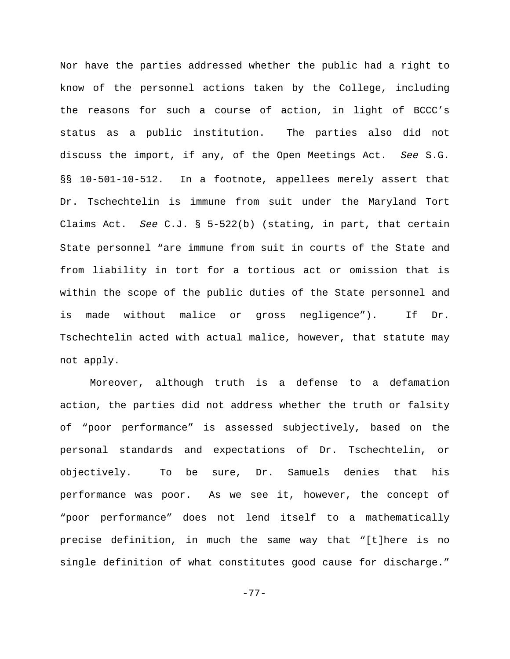Nor have the parties addressed whether the public had a right to know of the personnel actions taken by the College, including the reasons for such a course of action, in light of BCCC's status as a public institution. The parties also did not discuss the import, if any, of the Open Meetings Act. *See* S.G. §§ 10-501-10-512. In a footnote, appellees merely assert that Dr. Tschechtelin is immune from suit under the Maryland Tort Claims Act. *See* C.J. § 5-522(b) (stating, in part, that certain State personnel "are immune from suit in courts of the State and from liability in tort for a tortious act or omission that is within the scope of the public duties of the State personnel and is made without malice or gross negligence"). If Dr. Tschechtelin acted with actual malice, however, that statute may not apply.

Moreover, although truth is a defense to a defamation action, the parties did not address whether the truth or falsity of "poor performance" is assessed subjectively, based on the personal standards and expectations of Dr. Tschechtelin, or objectively. To be sure, Dr. Samuels denies that his performance was poor. As we see it, however, the concept of "poor performance" does not lend itself to a mathematically precise definition, in much the same way that "[t]here is no single definition of what constitutes good cause for discharge."

-77-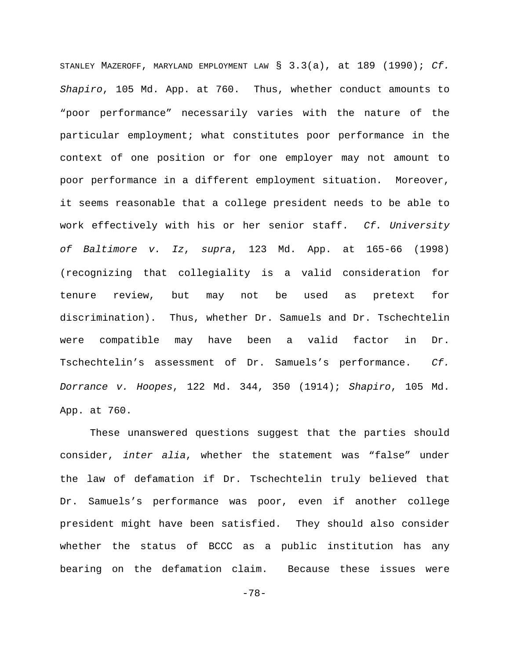STANLEY MAZEROFF, MARYLAND EMPLOYMENT LAW § 3.3(a), at 189 (1990); *Cf. Shapiro*, 105 Md. App. at 760. Thus, whether conduct amounts to "poor performance" necessarily varies with the nature of the particular employment; what constitutes poor performance in the context of one position or for one employer may not amount to poor performance in a different employment situation. Moreover, it seems reasonable that a college president needs to be able to work effectively with his or her senior staff. *Cf. University of Baltimore v. Iz*, *supra*, 123 Md. App. at 165-66 (1998) (recognizing that collegiality is a valid consideration for tenure review, but may not be used as pretext for discrimination). Thus, whether Dr. Samuels and Dr. Tschechtelin were compatible may have been a valid factor in Dr. Tschechtelin's assessment of Dr. Samuels's performance. *Cf. Dorrance v. Hoopes*, 122 Md. 344, 350 (1914); *Shapiro*, 105 Md. App. at 760.

These unanswered questions suggest that the parties should consider, *inter alia*, whether the statement was "false" under the law of defamation if Dr. Tschechtelin truly believed that Dr. Samuels's performance was poor, even if another college president might have been satisfied. They should also consider whether the status of BCCC as a public institution has any bearing on the defamation claim. Because these issues were

-78-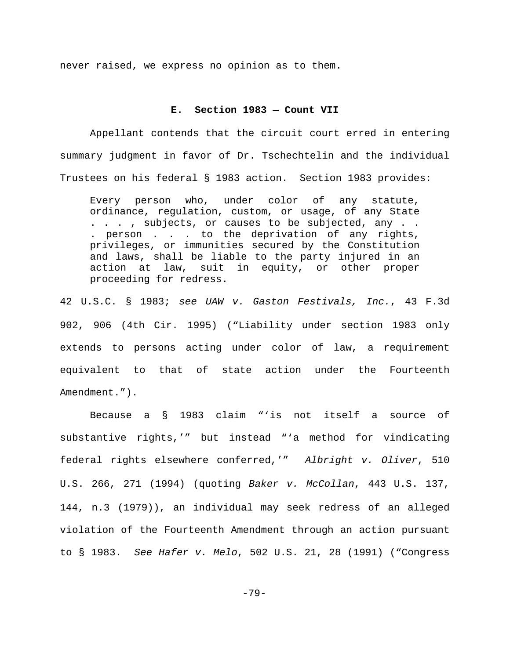never raised, we express no opinion as to them.

## **E. Section 1983 — Count VII**

Appellant contends that the circuit court erred in entering summary judgment in favor of Dr. Tschechtelin and the individual Trustees on his federal § 1983 action. Section 1983 provides:

Every person who, under color of any statute, ordinance, regulation, custom, or usage, of any State . . . , subjects, or causes to be subjected, any . . . person . . . to the deprivation of any rights, privileges, or immunities secured by the Constitution and laws, shall be liable to the party injured in an action at law, suit in equity, or other proper proceeding for redress.

42 U.S.C. § 1983; *see UAW v. Gaston Festivals, Inc.*, 43 F.3d 902, 906 (4th Cir. 1995) ("Liability under section 1983 only extends to persons acting under color of law, a requirement equivalent to that of state action under the Fourteenth Amendment.").

Because a § 1983 claim "'is not itself a source of substantive rights,'" but instead "'a method for vindicating federal rights elsewhere conferred,'" *Albright v. Oliver*, 510 U.S. 266, 271 (1994) (quoting *Baker v. McCollan*, 443 U.S. 137, 144, n.3 (1979)), an individual may seek redress of an alleged violation of the Fourteenth Amendment through an action pursuant to § 1983. *See Hafer v. Melo*, 502 U.S. 21, 28 (1991) ("Congress

-79-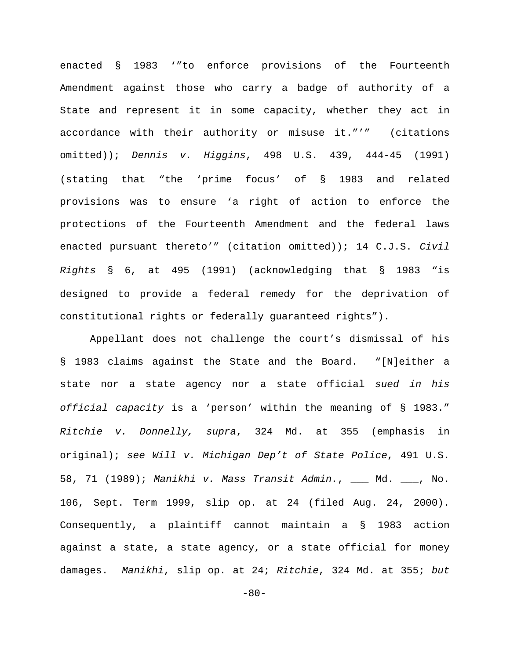enacted § 1983 '"to enforce provisions of the Fourteenth Amendment against those who carry a badge of authority of a State and represent it in some capacity, whether they act in accordance with their authority or misuse it."'" (citations omitted)); *Dennis v. Higgins*, 498 U.S. 439, 444-45 (1991) (stating that "the 'prime focus' of § 1983 and related provisions was to ensure 'a right of action to enforce the protections of the Fourteenth Amendment and the federal laws enacted pursuant thereto'" (citation omitted)); 14 C.J.S. *Civil Rights* § 6, at 495 (1991) (acknowledging that § 1983 "is designed to provide a federal remedy for the deprivation of constitutional rights or federally guaranteed rights").

Appellant does not challenge the court's dismissal of his § 1983 claims against the State and the Board. "[N]either a state nor a state agency nor a state official *sued in his official capacity* is a 'person' within the meaning of § 1983." *Ritchie v. Donnelly, supra*, 324 Md. at 355 (emphasis in original); *see Will v. Michigan Dep't of State Police*, 491 U.S. 58, 71 (1989); *Manikhi v. Mass Transit Admin.*, \_\_\_ Md. \_\_\_, No. 106, Sept. Term 1999, slip op. at 24 (filed Aug. 24, 2000). Consequently, a plaintiff cannot maintain a § 1983 action against a state, a state agency, or a state official for money damages. *Manikhi*, slip op. at 24; *Ritchie*, 324 Md. at 355; *but*

 $-80-$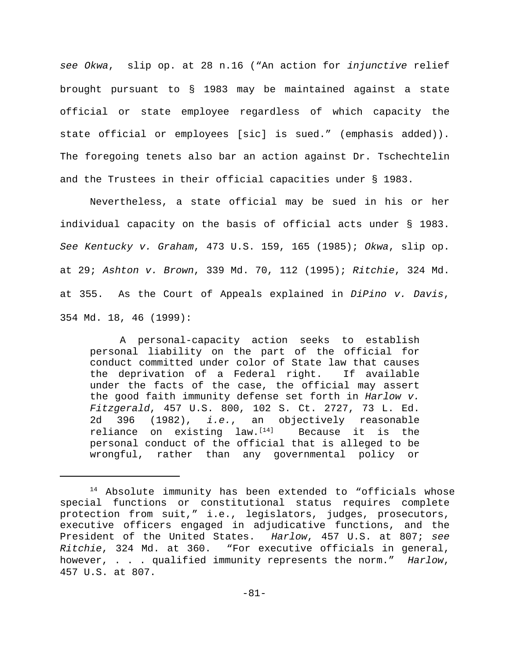*see Okwa*, slip op. at 28 n.16 ("An action for *injunctive* relief brought pursuant to § 1983 may be maintained against a state official or state employee regardless of which capacity the state official or employees [sic] is sued." (emphasis added)). The foregoing tenets also bar an action against Dr. Tschechtelin and the Trustees in their official capacities under § 1983.

Nevertheless, a state official may be sued in his or her individual capacity on the basis of official acts under § 1983. *See Kentucky v. Graham*, 473 U.S. 159, 165 (1985); *Okwa*, slip op. at 29; *Ashton v. Brown*, 339 Md. 70, 112 (1995); *Ritchie*, 324 Md. at 355. As the Court of Appeals explained in *DiPino v. Davis*, 354 Md. 18, 46 (1999):

A personal-capacity action seeks to establish personal liability on the part of the official for conduct committed under color of State law that causes the deprivation of a Federal right. If available under the facts of the case, the official may assert the good faith immunity defense set forth in *Harlow v. Fitzgerald*, 457 U.S. 800, 102 S. Ct. 2727, 73 L. Ed. 2d 396 (1982), *i.e.*, an objectively reasonable reliance on existing law.<sup>[14]</sup> Because it is the personal conduct of the official that is alleged to be wrongful, rather than any governmental policy or

<sup>&</sup>lt;sup>14</sup> Absolute immunity has been extended to "officials whose special functions or constitutional status requires complete protection from suit," i.e., legislators, judges, prosecutors, executive officers engaged in adjudicative functions, and the President of the United States. *Harlow*, 457 U.S. at 807; *see Ritchie*, 324 Md. at 360. "For executive officials in general, however, . . . qualified immunity represents the norm." *Harlow*, 457 U.S. at 807.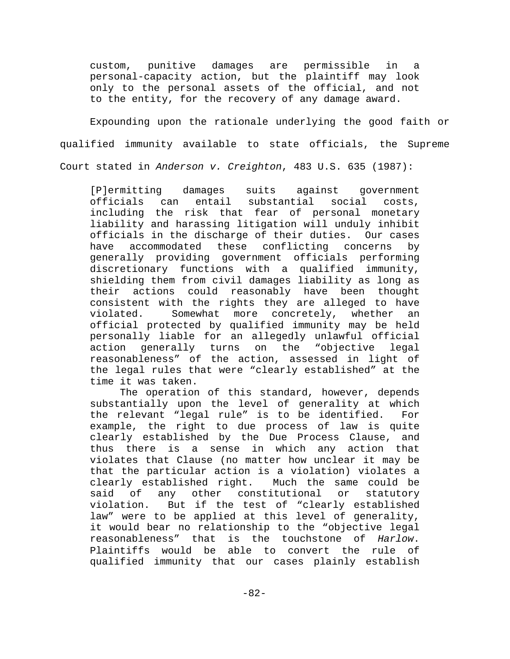custom, punitive damages are permissible in a personal-capacity action, but the plaintiff may look only to the personal assets of the official, and not to the entity, for the recovery of any damage award.

Expounding upon the rationale underlying the good faith or qualified immunity available to state officials, the Supreme Court stated in *Anderson v. Creighton*, 483 U.S. 635 (1987):

[P]ermitting damages suits against government officials can entail substantial social costs, including the risk that fear of personal monetary liability and harassing litigation will unduly inhibit officials in the discharge of their duties. Our cases have accommodated these conflicting concerns by generally providing government officials performing discretionary functions with a qualified immunity, shielding them from civil damages liability as long as their actions could reasonably have been thought consistent with the rights they are alleged to have violated. Somewhat more concretely, whether an official protected by qualified immunity may be held personally liable for an allegedly unlawful official action generally turns on the "objective legal reasonableness" of the action, assessed in light of the legal rules that were "clearly established" at the time it was taken.

The operation of this standard, however, depends substantially upon the level of generality at which the relevant "legal rule" is to be identified. For example, the right to due process of law is quite clearly established by the Due Process Clause, and thus there is a sense in which any action that violates that Clause (no matter how unclear it may be that the particular action is a violation) violates a clearly established right. Much the same could be said of any other constitutional or statutory violation. But if the test of "clearly established law" were to be applied at this level of generality, it would bear no relationship to the "objective legal reasonableness" that is the touchstone of *Harlow*. Plaintiffs would be able to convert the rule of qualified immunity that our cases plainly establish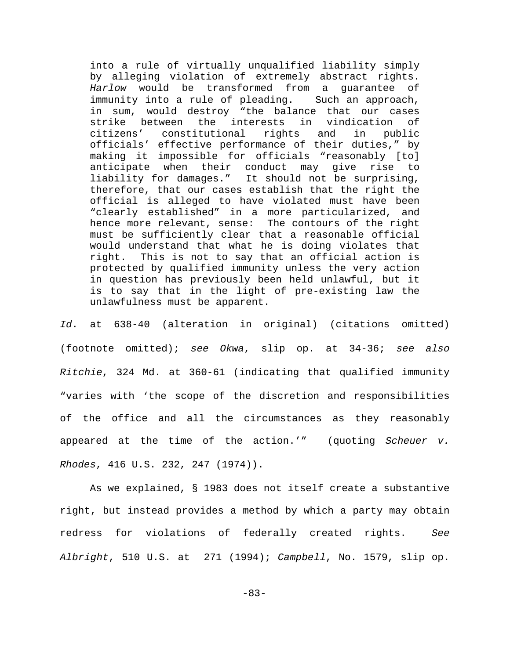into a rule of virtually unqualified liability simply by alleging violation of extremely abstract rights. *Harlow* would be transformed from a guarantee of immunity into a rule of pleading. Such an approach, in sum, would destroy "the balance that our cases strike between the interests in vindication of citizens' constitutional rights and in public officials' effective performance of their duties," by making it impossible for officials "reasonably [to] anticipate when their conduct may give rise to liability for damages." It should not be surprising, therefore, that our cases establish that the right the official is alleged to have violated must have been "clearly established" in a more particularized, and hence more relevant, sense: The contours of the right must be sufficiently clear that a reasonable official would understand that what he is doing violates that right. This is not to say that an official action is protected by qualified immunity unless the very action in question has previously been held unlawful, but it is to say that in the light of pre-existing law the unlawfulness must be apparent.

*Id*. at 638-40 (alteration in original) (citations omitted) (footnote omitted); *see Okwa*, slip op. at 34-36; *see also Ritchie*, 324 Md. at 360-61 (indicating that qualified immunity "varies with 'the scope of the discretion and responsibilities of the office and all the circumstances as they reasonably appeared at the time of the action.'" (quoting *Scheuer v. Rhodes*, 416 U.S. 232, 247 (1974)).

As we explained, § 1983 does not itself create a substantive right, but instead provides a method by which a party may obtain redress for violations of federally created rights. *See Albright*, 510 U.S. at 271 (1994); *Campbell*, No. 1579, slip op.

-83-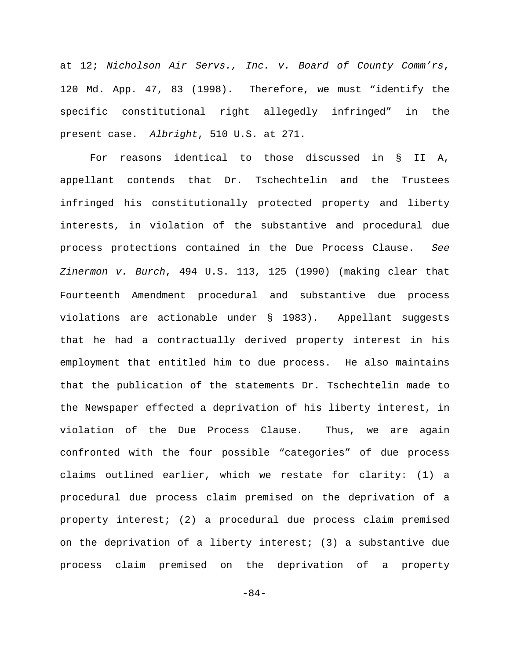at 12; *Nicholson Air Servs., Inc. v. Board of County Comm'rs*, 120 Md. App. 47, 83 (1998). Therefore, we must "identify the specific constitutional right allegedly infringed" in the present case. *Albright*, 510 U.S. at 271.

For reasons identical to those discussed in § II A, appellant contends that Dr. Tschechtelin and the Trustees infringed his constitutionally protected property and liberty interests, in violation of the substantive and procedural due process protections contained in the Due Process Clause. *See Zinermon v. Burch*, 494 U.S. 113, 125 (1990) (making clear that Fourteenth Amendment procedural and substantive due process violations are actionable under § 1983). Appellant suggests that he had a contractually derived property interest in his employment that entitled him to due process. He also maintains that the publication of the statements Dr. Tschechtelin made to the Newspaper effected a deprivation of his liberty interest, in violation of the Due Process Clause. Thus, we are again confronted with the four possible "categories" of due process claims outlined earlier, which we restate for clarity: (1) a procedural due process claim premised on the deprivation of a property interest; (2) a procedural due process claim premised on the deprivation of a liberty interest; (3) a substantive due process claim premised on the deprivation of a property

-84-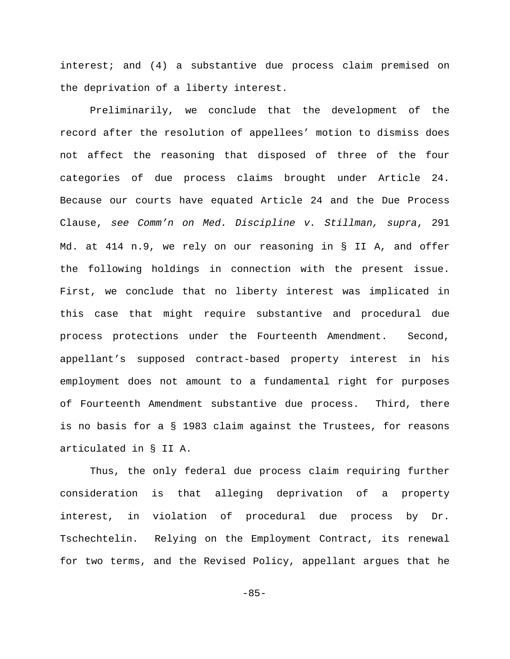interest; and (4) a substantive due process claim premised on the deprivation of a liberty interest.

Preliminarily, we conclude that the development of the record after the resolution of appellees' motion to dismiss does not affect the reasoning that disposed of three of the four categories of due process claims brought under Article 24. Because our courts have equated Article 24 and the Due Process Clause, *see Comm'n on Med. Discipline v. Stillman, supra*, 291 Md. at 414 n.9, we rely on our reasoning in § II A, and offer the following holdings in connection with the present issue. First, we conclude that no liberty interest was implicated in this case that might require substantive and procedural due process protections under the Fourteenth Amendment. Second, appellant's supposed contract-based property interest in his employment does not amount to a fundamental right for purposes of Fourteenth Amendment substantive due process. Third, there is no basis for a § 1983 claim against the Trustees, for reasons articulated in § II A.

Thus, the only federal due process claim requiring further consideration is that alleging deprivation of a property interest, in violation of procedural due process by Dr. Tschechtelin. Relying on the Employment Contract, its renewal for two terms, and the Revised Policy, appellant argues that he

-85-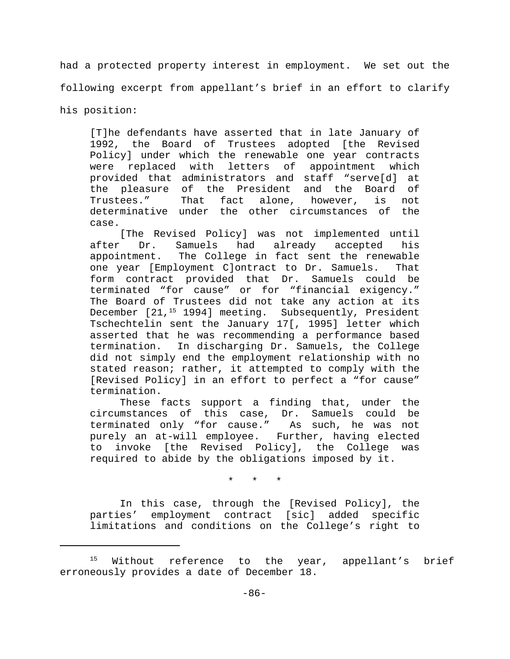had a protected property interest in employment. We set out the following excerpt from appellant's brief in an effort to clarify his position:

[T]he defendants have asserted that in late January of 1992, the Board of Trustees adopted [the Revised Policy] under which the renewable one year contracts were replaced with letters of appointment which provided that administrators and staff "serve[d] at the pleasure of the President and the Board of Trustees." That fact alone, however, is not determinative under the other circumstances of the case.

[The Revised Policy] was not implemented until after Dr. Samuels had already accepted his appointment. The College in fact sent the renewable one year [Employment C]ontract to Dr. Samuels. That form contract provided that Dr. Samuels could be terminated "for cause" or for "financial exigency." The Board of Trustees did not take any action at its December [21,<sup>15</sup> 1994] meeting. Subsequently, President Tschechtelin sent the January 17[, 1995] letter which asserted that he was recommending a performance based termination. In discharging Dr. Samuels, the College did not simply end the employment relationship with no stated reason; rather, it attempted to comply with the [Revised Policy] in an effort to perfect a "for cause" termination.

These facts support a finding that, under the circumstances of this case, Dr. Samuels could be terminated only "for cause." As such, he was not purely an at-will employee. Further, having elected to invoke [the Revised Policy], the College was required to abide by the obligations imposed by it.

\* \* \*

In this case, through the [Revised Policy], the parties' employment contract [sic] added specific limitations and conditions on the College's right to

Without reference to the year, appellant's brief 15 erroneously provides a date of December 18.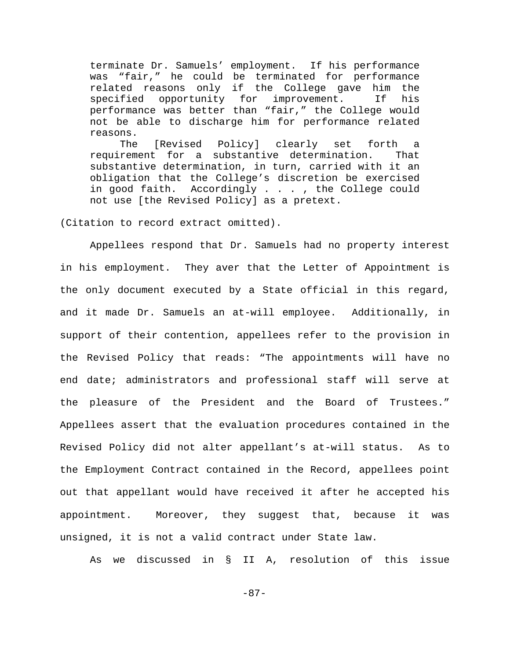terminate Dr. Samuels' employment. If his performance was "fair," he could be terminated for performance related reasons only if the College gave him the specified opportunity for improvement. If his performance was better than "fair," the College would not be able to discharge him for performance related reasons.

The [Revised Policy] clearly set forth a requirement for a substantive determination. That substantive determination, in turn, carried with it an obligation that the College's discretion be exercised in good faith. Accordingly . . . , the College could not use [the Revised Policy] as a pretext.

(Citation to record extract omitted).

Appellees respond that Dr. Samuels had no property interest in his employment. They aver that the Letter of Appointment is the only document executed by a State official in this regard, and it made Dr. Samuels an at-will employee. Additionally, in support of their contention, appellees refer to the provision in the Revised Policy that reads: "The appointments will have no end date; administrators and professional staff will serve at the pleasure of the President and the Board of Trustees." Appellees assert that the evaluation procedures contained in the Revised Policy did not alter appellant's at-will status. As to the Employment Contract contained in the Record, appellees point out that appellant would have received it after he accepted his appointment. Moreover, they suggest that, because it was unsigned, it is not a valid contract under State law.

As we discussed in § II A, resolution of this issue

-87-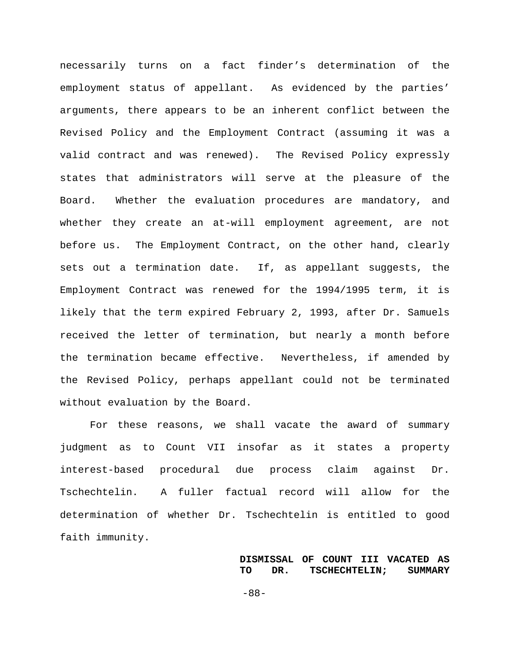necessarily turns on a fact finder's determination of the employment status of appellant. As evidenced by the parties' arguments, there appears to be an inherent conflict between the Revised Policy and the Employment Contract (assuming it was a valid contract and was renewed). The Revised Policy expressly states that administrators will serve at the pleasure of the Board. Whether the evaluation procedures are mandatory, and whether they create an at-will employment agreement, are not before us. The Employment Contract, on the other hand, clearly sets out a termination date. If, as appellant suggests, the Employment Contract was renewed for the 1994/1995 term, it is likely that the term expired February 2, 1993, after Dr. Samuels received the letter of termination, but nearly a month before the termination became effective. Nevertheless, if amended by the Revised Policy, perhaps appellant could not be terminated without evaluation by the Board.

For these reasons, we shall vacate the award of summary judgment as to Count VII insofar as it states a property interest-based procedural due process claim against Dr. Tschechtelin. A fuller factual record will allow for the determination of whether Dr. Tschechtelin is entitled to good faith immunity.

> **DISMISSAL OF COUNT III VACATED AS TO DR. TSCHECHTELIN; SUMMARY**

-88-